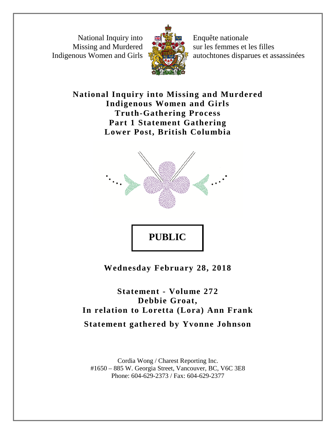National Inquiry into Missing and Murdered Indigenous Women and Girls



Enquête nationale sur les femmes et les filles autochtones disparues et assassinées

**National Inquiry into Missing and Murdered Indigenous Women and Girls Truth-Gathering Process Part 1 Statement Gathering Lower Post, British Columbia**



**PUBLIC** 

**Wednesday February 28, 2018**

**Statement - Volume 272 Debbie Groat, In relation to Loretta (Lora) Ann Frank Statement gathered by Yvonne Johnson**

Cordia Wong / Charest Reporting Inc. #1650 – 885 W. Georgia Street, Vancouver, BC, V6C 3E8 Phone: 604-629-2373 / Fax: 604-629-2377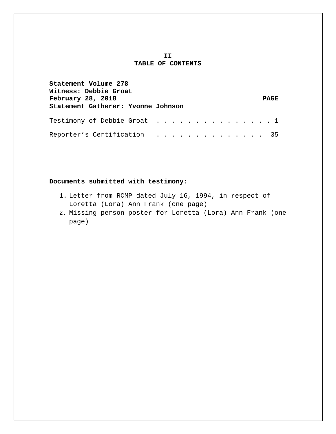## **II TABLE OF CONTENTS**

| Statement Volume 278<br>Witness: Debbie Groat<br>February 28, 2018 |  |  |  | <b>PAGE</b> |
|--------------------------------------------------------------------|--|--|--|-------------|
| Statement Gatherer: Yvonne Johnson                                 |  |  |  |             |
| Testimony of Debbie Groat $\dots$ 1                                |  |  |  |             |
| Reporter's Certification 35                                        |  |  |  |             |

## **Documents submitted with testimony:**

- 1. Letter from RCMP dated July 16, 1994, in respect of Loretta (Lora) Ann Frank (one page)
- 2. Missing person poster for Loretta (Lora) Ann Frank (one page)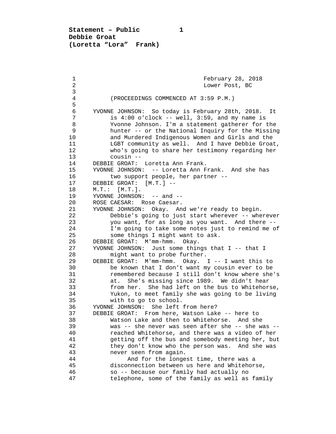**Statement – Public 1 Debbie Groat (Loretta "Lora" Frank)**

1 February 28, 2018<br>2 Lower Post, BC 2 Lower Post, BC 3 4 (PROCEEDINGS COMMENCED AT 3:59 P.M.) 5 6 YVONNE JOHNSON: So today is February 28th, 2018. It 7 is 4:00 o'clock -- well, 3:59, and my name is<br>8 Yvonne Johnson. I'm a statement gatherer for 8 Yvonne Johnson. I'm a statement gatherer for the<br>9 hunter -- or the National Inquiry for the Missine 9 hunter -- or the National Inquiry for the Missing 10 and Murdered Indigenous Women and Girls and the<br>11 LGBT community as well. And I have Debbie Groa 11 LGBT community as well. And I have Debbie Groat,<br>12 Who's going to share her testimony regarding her 12 who's going to share her testimony regarding her<br>13 cousin --13 cousin --<br>14 DEBBIE GROAT: 14 DEBBIE GROAT: Loretta Ann Frank.<br>15 YVONNE JOHNSON: -- Loretta Ann F 15 YVONNE JOHNSON: -- Loretta Ann Frank. And she has<br>16 two support people, her partner --16 two support people, her partner --<br>17 DEBBIE GROAT: [M.T.] --17 DEBBIE GROAT: [M.T.] --<br>18 M.T.: [M.T.]. 18 M.T.: [M.T.].<br>19 YVONNE JOHNSON 19 YVONNE JOHNSON: -- and --<br>20 ROSE CAESAR: Rose Caesar. 20 ROSE CAESAR: Rose Caesar.<br>21 YVONNE JOHNSON: Okav. An 21 YVONNE JOHNSON: Okay. And we're ready to begin.<br>22 Debbie's going to just start wherever -- whe 22 Debbie's going to just start wherever -- wherever<br>23 vou want, for as long as you want. And there --23 you want, for as long as you want. And there --<br>24 I'm going to take some notes just to remind me o: 24 I'm going to take some notes just to remind me of<br>25 some things I might want to ask. 25 some things I might want to ask.<br>26 DEBBIE GROAT: M'mm-hmm. Okay. 26 DEBBIE GROAT: M'mm-hmm. Okay.<br>27 YVONNE JOHNSON: Just some thin 27 YVONNE JOHNSON: Just some things that I -- that I<br>28 might want to probe further 28 might want to probe further.<br>29 DEBBIE GROAT: M'mm-hmm. Okav. 29 DEBBIE GROAT: M'mm-hmm. Okay. I -- I want this to 30 be known that I don't want my cousin ever to be<br>31 memembered because I still don't know where she 31 remembered because I still don't know where she's<br>32 at. She's missing since 1989. We didn't hear 32 at. She's missing since 1989. We didn't hear<br>33 from her. She had left on the bus to Whitehor 33 from her. She had left on the bus to Whitehorse,<br>34 Yukon, to meet family she was going to be living 34 Yukon, to meet family she was going to be living 35 with to go to school.<br>36 YVONNE JOHNSON: She left 36 YVONNE JOHNSON: She left from here?<br>37 DEBBIE GROAT: From here, Watson Lake 37 DEBBIE GROAT: From here, Watson Lake -- here to<br>38 Watson Lake and then to Whitehorse. And she 38 Watson Lake and then to Whitehorse. And she<br>39 was -- she never was seen after she -- she was 39 was -- she never was seen after she -- she was --<br>40 meached Whitehorse, and there was a video of her 40 reached Whitehorse, and there was a video of her<br>41 setting off the bus and somebody meeting her, but 41 getting off the bus and somebody meeting her, but<br>42 they don't know who the person was. And she was 42 they don't know who the person was. And she was<br>43 hever seen from again. 43 never seen from again.<br>44 **And for the longe** 44 And for the longest time, there was a<br>45 disconnection between us here and Whitehor 45 disconnection between us here and Whitehorse, 46 so -- because our family had actually no telephone, some of the family as well as family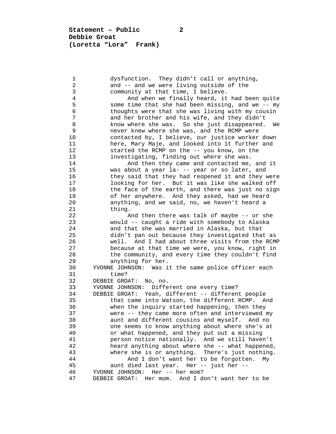**Statement – Public 2 Debbie Groat (Loretta "Lora" Frank)**

1 dysfunction. They didn't call or anything,<br>2 and -- and we were living outside of the 2 and -- and we were living outside of the<br>3 community at that time, I believe. 3 community at that time, I believe.<br>4 And when we finally heard, it 4 And when we finally heard, it had been quite<br>5 Some time that she had been missing, and we -- my 5 some time that she had been missing, and we -- my<br>6 thoughts were that she was living with my cousin 6 thoughts were that she was living with my cousin<br>7 and her brother and his wife, and they didn't 7 and her brother and his wife, and they didn't<br>8 know where she was. So she just disappeared. 8 know where she was. So she just disappeared. We<br>9 hever knew where she was, and the RCMP were 9 never knew where she was, and the RCMP were<br>10 contacted by, I believe, our justice worker 10 contacted by, I believe, our justice worker down<br>11 here, Mary Maje, and looked into it further and 11 here, Mary Maje, and looked into it further and<br>12 started the RCMP on the -- you know, on the 12 started the RCMP on the -- you know, on the<br>13 investigating, finding out where she was. 13 investigating, finding out where she was.<br>14 and then they came and contacted me, 14 And then they came and contacted me, and it<br>15 was about a year la--- year or so later, and 15 was about a year la- -- year or so later, and 16 they said that they had reopened it and they were<br>17 100king for her. But it was like she walked off 17 100king for her. But it was like she walked off<br>18 the face of the earth, and there was just no sign 18 the face of the earth, and there was just no sign<br>19 of her anywhere. And they asked, had we heard 19 of her anywhere. And they asked, had we heard<br>20 anything, and we said, no, we haven't heard a 20 anything, and we said, no, we haven't heard a<br>21 thing. 21 thing.<br>22 A 22 And then there was talk of maybe -- or she<br>23 would -- caught a ride with somebody to Alaska 23 would -- caught a ride with somebody to Alaska<br>24 and that she was married in Alaska, but that 24 and that she was married in Alaska, but that<br>25 didn't pan out because they investigated tha 25 didn't pan out because they investigated that as 26 well. And I had about three visits from the RCMP<br>27 because at that time we were, you know, right in 27 because at that time we were, you know, right in<br>28 the community, and every time they couldn't find 28 the community, and every time they couldn't find<br>29 anything for her. 29 anything for her.<br>30 YVONNE JOHNSON: Was i 30 YVONNE JOHNSON: Was it the same police officer each 31 time?<br>32 DEBBIE GRO. 32 DEBBIE GROAT: No, no.<br>33 YVONNE JOHNSON: Diffe 33 YVONNE JOHNSON: Different one every time? 34 DEBBIE GROAT: Yeah, different -- different people 35 that came into Watson, the different RCMP. And<br>36 when the inquiry started happening, then they 36 when the inquiry started happening, then they<br>37 were -- they came more often and interviewed 37 were -- they came more often and interviewed my 38 aunt and different cousins and myself. And no<br>39 one seems to know anything about where she's at 39 one seems to know anything about where she's at<br>40 or what happened, and they put out a missing 40 or what happened, and they put out a missing<br>41 operson notice nationally. And we still have 41 **person notice nationally.** And we still haven't<br>42 **heard anything about where she -- what happened** 42 heard anything about where she -- what happened,<br>43 where she is or anything. There's just nothing. 43 where she is or anything. There's just nothing.<br>44 And I don't want her to be forgotten. My 44 And I don't want her to be forgotten. My<br>45 aunt died last year. Her -- just her --45 aunt died last year. Her -- just her --<br>46 YVONNE JOHNSON: Her -- her mom? 46 YVONNE JOHNSON: Her -- her mom?<br>47 DEBBIE GROAT: Her mom. And I d DEBBIE GROAT: Her mom. And I don't want her to be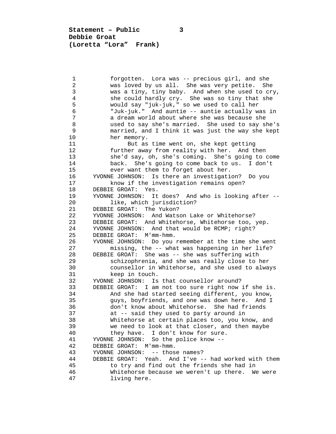**Statement – Public 3 Debbie Groat (Loretta "Lora" Frank)**

 1 forgotten. Lora was -- precious girl, and she 2 was loved by us all. She was very petite. She 3 was a tiny, tiny baby. And when she used to cry,<br>4 she could hardly cry. She was so tiny that she 4 she could hardly cry. She was so tiny that she<br>5 would say "juk-juk," so we used to call her 5 would say "juk-juk," so we used to call her 6 "Juk-juk." And auntie -- auntie actually was in 7 a dream world about where she was because she<br>8 a used to say she's married. She used to say sh 8 used to say she's married. She used to say she's 9 married, and I think it was just the way she kept<br>10 her memory. 10 her memory.<br>11 But as 11 But as time went on, she kept getting<br>12 further away from reality with her. And th 12 further away from reality with her. And then<br>13 she'd sav. oh. she's coming. She's going to o 13 she'd say, oh, she's coming. She's going to come<br>14 back. She's going to come back to us. I don't 14 back. She's going to come back to us. I don't<br>15 ever want them to forget about her. 15 ever want them to forget about her.<br>16 YVONNE JOHNSON: Is there an investigati 16 YVONNE JOHNSON: Is there an investigation? Do you<br>17 The investigation remains open? 17 know if the investigation remains open?<br>18 DEBBIE GROAT: Yes. 18 DEBBIE GROAT: Yes.<br>19 YVONNE JOHNSON: It 19 YVONNE JOHNSON: It does? And who is looking after -- 20 like, which jurisdiction?<br>21 DEBBIE GROAT: The Yukon? 21 DEBBIE GROAT: The Yukon?<br>22 YVONNE JOHNSON: And Wats 22 YVONNE JOHNSON: And Watson Lake or Whitehorse?<br>23 DEBBIE GROAT: And Whitehorse, Whitehorse too, 23 DEBBIE GROAT: And Whitehorse, Whitehorse too, yep.<br>24 YVONNE JOHNSON: And that would be RCMP; right? 24 YVONNE JOHNSON: And that would be RCMP; right?<br>25 DEBBIE GROAT: M'mm-hmm. 25 DEBBIE GROAT: M'mm-hmm.<br>26 YVONNE JOHNSON: Do you 26 YVONNE JOHNSON: Do you remember at the time she went<br>27 missing, the -- what was happening in her life? 27 missing, the -- what was happening in her life?<br>28 DEBBIE GROAT: She was -- she was suffering with 28 DEBBIE GROAT: She was -- she was suffering with 29 schizophrenia, and she was really close to her<br>20 counsellor in Whitehorse, and she used to alwa 30 counsellor in Whitehorse, and she used to always 31 keep in touch.<br>32 YVONNE JOHNSON: Is 32 YVONNE JOHNSON: Is that counsellor around?<br>33 DEBBIE GROAT: I am not too sure right now 33 DEBBIE GROAT: I am not too sure right now if she is.<br>34 And she had started seeing different, you know, 34 And she had started seeing different, you know,<br>35 and poveriends, and one was down here. And I 35 guys, boyfriends, and one was down here.<br>36 6 don't know about Whitehorse. She had fr: 36 don't know about Whitehorse. She had friends<br>37 at -- said they used to party around in 37 at -- said they used to party around in<br>38 Whitehorse at certain places too, you ki 38 Whitehorse at certain places too, you know, and<br>39 we need to look at that closer, and then maybe 39 we need to look at that closer, and then maybe 40 they have. I don't know for sure. 40 they have. I don't know for sure.<br>41 YVONNE JOHNSON: So the police know --41 YVONNE JOHNSON: So the police know --<br>42 DEBBIE GROAT: M'mm-hmm. 42 DEBBIE GROAT: M'mm-hmm.<br>43 YVONNE JOHNSON: -- thos 43 YVONNE JOHNSON: -- those names?<br>44 DEBBIE GROAT: Yeah. And I've - 44 DEBBIE GROAT: Yeah. And I've -- had worked with them 45 to try and find out the friends she had in 46 Whitehorse because we weren't up there. We were<br>47 living here. living here.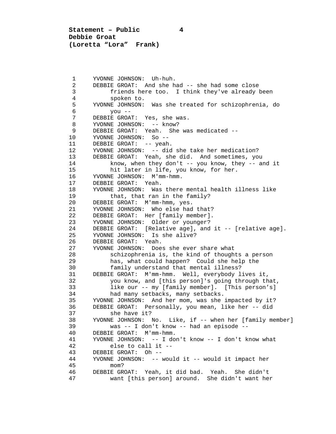**Statement – Public 4 Debbie Groat (Loretta "Lora" Frank)**

1 YVONNE JOHNSON: Uh-huh.<br>2 DEBBIE GROAT: And she h 2 DEBBIE GROAT: And she had -- she had some close 3 friends here too. I think they've already been 4 spoken to.<br>5 YVONNE JOHNSON: 5 YVONNE JOHNSON: Was she treated for schizophrenia, do 6 you -- 7 DEBBIE GROAT: Yes, she was.<br>8 YVONNE JOHNSON: -- know? 8 YVONNE JOHNSON: -- know?<br>9 DEBBIE GROAT: Yeah. She 9 DEBBIE GROAT: Yeah. She was medicated --<br>10 YVONNE JOHNSON: So --10 YVONNE JOHNSON: So --<br>11 DEBBIE GROAT: -- yeah. 11 DEBBIE GROAT: -- yeah.<br>12 YVONNE JOHNSON: -- did 12 YVONNE JOHNSON: -- did she take her medication?<br>13 DEBBIE GROAT: Yeah, she did. And sometimes, yo 13 DEBBIE GROAT: Yeah, she did. And sometimes, you<br>14 https://whenthey.don't -- you know, they -- all 14 know, when they don't -- you know, they -- and it<br>15 hit later in life, you know, for her. 15 hit later in life, you know, for her.<br>16 YVONNE JOHNSON: M'mm-hmm. 16 YVONNE JOHNSON: M'mm-hmm.<br>17 DEBBIE GROAT: Yeah. 17 DEBBIE GROAT: Yeah.<br>18 YVONNE JOHNSON: Was 18 YVONNE JOHNSON: Was there mental health illness like<br>19 that, that ran in the family? 19 that, that ran in the family?<br>20 DEBBIE GROAT: M'mm-hmm, ves. 20 DEBBIE GROAT: M'mm-hmm, yes.<br>21 YVONNE JOHNSON: Who else had 21 YVONNE JOHNSON: Who else had that?<br>22 DEBBIE GROAT: Her [family member]. 22 DEBBIE GROAT: Her [family member].<br>23 YVONNE JOHNSON: Older or younger? 23 YVONNE JOHNSON: Older or younger?<br>24 DEBBIE GROAT: [Relative age], and 24 DEBBIE GROAT: [Relative age], and it -- [relative age].<br>25 YVONNE JOHNSON: Is she alive? 25 YVONNE JOHNSON: Is she alive?<br>26 DEBBIE GROAT: Yeah. 26 DEBBIE GROAT: Yeah.<br>27 YVONNE JOHNSON: Doe: 27 YVONNE JOHNSON: Does she ever share what<br>28 Schizophrenia is, the kind of though 28 schizophrenia is, the kind of thoughts a person<br>29 has, what could happen? Could she help the 29 has, what could happen? Could she help the<br>30 family understand that mental illness? 30 family understand that mental illness?<br>31 DEBBIE GROAT: M'mm-hmm. Well, everybody l 31 DEBBIE GROAT: M'mm-hmm. Well, everybody lives it, 32 you know, and [this person]'s going through that,<br>33 1ike our -- my [family member]. [This person's] 33 like our -- my [family member]. [This person's] 34 had many setbacks, many setbacks.<br>35 YVONNE JOHNSON: And her mom, was she 35 YVONNE JOHNSON: And her mom, was she impacted by it? 36 DEBBIE GROAT: Personally, you mean, like her -- did 37 she have it?<br>38 YVONNE JOHNSON: I 38 YVONNE JOHNSON: No. Like, if -- when her [family member]<br>39 was -- I don't know -- had an episode -- 39 was -- I don't know -- had an episode -- 40 DEBBIE GROAT: M'mm-hmm.<br>41 YVONNE JOHNSON: -- I do 41 YVONNE JOHNSON: -- I don't know -- I don't know what 42 else to call it --<br>43 DEBBIE GROAT: Oh --43 DEBBIE GROAT: Oh --<br>44 YVONNE JOHNSON: -- 44 YVONNE JOHNSON: -- would it -- would it impact her 45 mom?<br>46 DEBBIE GR 46 DEBBIE GROAT: Yeah, it did bad. Yeah. She didn't want [this person] around. She didn't want her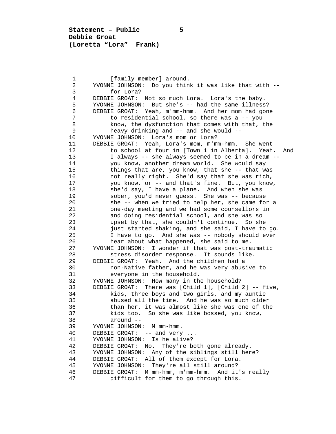**Statement – Public 5 Debbie Groat (Loretta "Lora" Frank)**

1 [family member] around.<br>2 YVONNE JOHNSON: Do you thin 2 YVONNE JOHNSON: Do you think it was like that with -- 3 for Lora?<br>4 DEBBIE GROAT: 4 DEBBIE GROAT: Not so much Lora. Lora's the baby.<br>5 YVONNE JOHNSON: But she's -- had the same illness 5 YVONNE JOHNSON: But she's -- had the same illness? 6 DEBBIE GROAT: Yeah, m'mm-hmm. And her mom had gone 7 to residential school, so there was a -- you<br>8 know, the dysfunction that comes with that, t 8 know, the dysfunction that comes with that, the  $9$  heavy drinking and  $-$  and she would  $-$ 9 heavy drinking and -- and she would --<br>10 YVONNE JOHNSON: Lora's mom or Lora? 10 YVONNE JOHNSON: Lora's mom or Lora?<br>11 DEBBIE GROAT: Yeah, Lora's mom, m'm 11 DEBBIE GROAT: Yeah, Lora's mom, m'mm-hmm. She went 12 to school at four in [Town 1 in Alberta]. Yeah. And<br>13 1 always -- she always seemed to be in a dream --13 I always -- she always seemed to be in a dream --<br>14 You know, another dream world. She would say 14 you know, another dream world. She would say<br>15 things that are, you know, that she -- that w 15 things that are, you know, that she -- that was<br>16 16 hot really right. She'd say that she was rich, 16 not really right. She'd say that she was rich, 17 You know, or -- and that's fine. But, you know,<br>18 She'd say, I have a plane. And when she was 18 she'd say, I have a plane. And when she was<br>19 sober, you'd never guess. She was -- becaus 19 sober, you'd never guess. She was -- because<br>20 she -- when we tried to help her, she came for 20 she -- when we tried to help her, she came for a<br>21 one-day meeting and we had some counsellors in 21 one-day meeting and we had some counsellors in<br>22 and doing residential school, and she was so 22 and doing residential school, and she was so<br>23 and she couldn't continue. So she 23 bupset by that, she couldn't continue. So she<br>24 iust started shaking, and she said, I have to 24 just started shaking, and she said, I have to go.<br>25 I have to go. And she was -- nobody should ever 25 I have to go. And she was -- nobody should ever<br>26 hear about what happened, she said to me. 26 hear about what happened, she said to me.<br>27 YVONNE JOHNSON: I wonder if that was post-tra 27 YVONNE JOHNSON: I wonder if that was post-traumatic 28 stress disorder response. It sounds like.<br>29 DEBBIE GROAT: Yeah. And the children had a 29 DEBBIE GROAT: Yeah. And the children had a 30 non-Native father, and he was very abusive to 31 everyone in the household.<br>32 YVONNE JOHNSON: How many in th 32 YVONNE JOHNSON: How many in the household?<br>33 DEBBIE GROAT: There was [Child 1], [Child 33 DEBBIE GROAT: There was [Child 1], [Child 2] -- five, 34 kids, three boys and two girls, and my auntie<br>35 abused all the time. And he was so much olde: 35 35 abused all the time. And he was so much older<br>36 than her, it was almost like she was one of the 36 than her, it was almost like she was one of the<br>37 kids too. So she was like bossed, you know, 37 kids too. So she was like bossed, you know, 38 around --<br>39 YVONNE JOHNSON: 39 YVONNE JOHNSON: M'mm-hmm.<br>40 DEBBIE GROAT: -- and verv 40 DEBBIE GROAT: -- and very ...<br>41 YVONNE JOHNSON: Is he alive? 41 YVONNE JOHNSON: Is he alive?<br>42 DEBBIE GROAT: No. They're b 42 DEBBIE GROAT: No. They're both gone already.<br>43 YVONNE JOHNSON: Any of the siblings still her 43 YVONNE JOHNSON: Any of the siblings still here?<br>44 DEBBIE GROAT: All of them except for Lora. 44 DEBBIE GROAT: All of them except for Lora.<br>45 YVONNE JOHNSON: They're all still around? 45 YVONNE JOHNSON: They're all still around?<br>46 DEBBIE GROAT: M'mm-hmm. m'mm-hmm. And it 46 DEBBIE GROAT: M'mm-hmm, m'mm-hmm. And it's really difficult for them to go through this.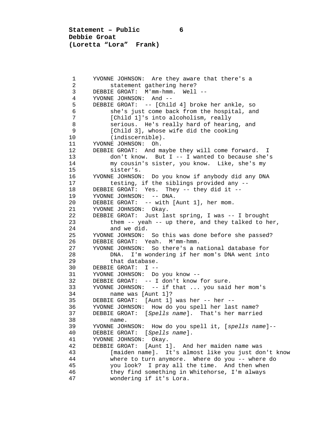**Statement – Public 6 Debbie Groat (Loretta "Lora" Frank)**

1 YVONNE JOHNSON: Are they aware that there's a<br>2 statement gathering here? 2 statement gathering here?<br>3 DEBBIE GROAT: M'mm-hmm. Well 3 DEBBIE GROAT: M'mm-hmm. Well --<br>4 YVONNE JOHNSON: And -- 4 YVONNE JOHNSON: And -- 5 DEBBIE GROAT: -- [Child 4] broke her ankle, so 6 she's just come back from the hospital, and 7 [Child 1]'s into alcoholism, really 8 serious. He's really hard of hearing, and<br>9 [Child 3], whose wife did the cooking 9 [Child 3], whose wife did the cooking<br>10 (indiscernible). 10 (indiscernible).<br>11 YVONNE JOHNSON: Oh. 11 YVONNE JOHNSON: Oh.<br>12 DEBBIE GROAT: And m 12 DEBBIE GROAT: And maybe they will come forward. I<br>13 don't know. But I -- I wanted to because she' 13 don't know. But I -- I wanted to because she's<br>14 my cousin's sister, you know. Like, she's my 14 my cousin's sister, you know. Like, she's my 15 sister's.<br>16 YVONNE JOHNSON 16 YVONNE JOHNSON: Do you know if anybody did any DNA 17 testing, if the siblings provided any --<br>18 DEBBIE GROAT: Yes. They -- they did it --18 DEBBIE GROAT: Yes. They -- they did it --<br>19 YVONNE JOHNSON: -- DNA. 19 YVONNE JOHNSON: -- DNA.<br>20 DEBBIE GROAT: -- with [ 20 DEBBIE GROAT: -- with [Aunt 1], her mom.<br>21 YVONNE JOHNSON: Okav. 21 YVONNE JOHNSON: Okay.<br>22 DEBBIE GROAT: Just la 22 DEBBIE GROAT: Just last spring, I was -- I brought<br>23 them -- yeah -- up there, and they talked to h 23 them -- yeah -- up there, and they talked to her,<br>24 and we did. 24 and we did.<br>25 YVONNE JOHNSON: 25 YVONNE JOHNSON: So this was done before she passed? 26 DEBBIE GROAT: Yeah. M'mm-hmm.<br>27 YVONNE JOHNSON: So there's a n 27 YVONNE JOHNSON: So there's a national database for<br>28 DNA. I'm wondering if her mom's DNA went into 28 DNA. I'm wondering if her mom's DNA went into<br>29 that database. 29 that database.<br>30 DEBBIE GROAT: I --30 DEBBIE GROAT: I --<br>31 YVONNE JOHNSON: Do 31 YVONNE JOHNSON: Do you know --<br>32 DEBBIE GROAT: -- I don't know 32 DEBBIE GROAT: -- I don't know for sure.<br>33 YVONNE JOHNSON: -- if that ... you said 33 YVONNE JOHNSON: -- if that ... you said her mom's 34 name was [Aunt 1]?<br>35 DEBBIE GROAT: [Aunt 1] 35 DEBBIE GROAT: [Aunt 1] was her -- her --<br>36 YVONNE JOHNSON: How do you spell her las 36 YVONNE JOHNSON: How do you spell her last name?<br>37 DEBBIE GROAT: [Spells name]. That's her marrie 37 DEBBIE GROAT: [*Spells name*]. That's her married 38 name.<br>39 YVONNE JOH 39 YVONNE JOHNSON: How do you spell it, [*spells name*]-- 40 DEBBIE GROAT: [*Spells name*]. 41 YVONNE JOHNSON: Okay.<br>42 DEBBIE GROAT: [Aunt 1 42 DEBBIE GROAT: [Aunt 1]. And her maiden name was 43 [maiden name]. It's almost like you just don't know<br>44 where to turn anymore. Where do you -- where do 44 where to turn anymore. Where do you -- where do<br>45 vou look? I pray all the time. And then when 45 you look? I pray all the time. And then when<br>46 they find something in Whitehorse, I'm always 46 they find something in Whitehorse, I'm always wondering if it's Lora.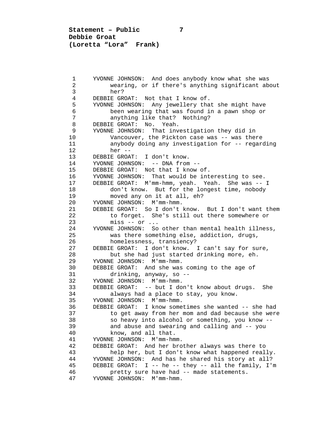**Statement – Public 7 Debbie Groat (Loretta "Lora" Frank)**

 1 YVONNE JOHNSON: And does anybody know what she was 2 wearing, or if there's anything significant about 3 her?<br>4 DEBBIE GR 4 DEBBIE GROAT: Not that I know of.<br>5 YVONNE JOHNSON: Any jewellery tha 5 YVONNE JOHNSON: Any jewellery that she might have 6 been wearing that was found in a pawn shop or 7 anything like that? Nothing?<br>8 DEBBIE GROAT: No. Yeah. 8 DEBBIE GROAT: No. Yeah.<br>9 YVONNE JOHNSON: That inv 9 YVONNE JOHNSON: That investigation they did in<br>10 Vancouver, the Pickton case was -- was the: 10 Vancouver, the Pickton case was -- was there<br>11 anybody doing any investigation for -- regare 11 anybody doing any investigation for -- regarding<br>12 her --12 her --<br>13 DEBBIE GROA 13 DEBBIE GROAT: I don't know.<br>14 YVONNE JOHNSON: -- DNA from 14 YVONNE JOHNSON: -- DNA from --<br>15 DEBBIE GROAT: Not that I know 15 DEBBIE GROAT: Not that I know of.<br>16 YVONNE JOHNSON: That would be int 16 YVONNE JOHNSON: That would be interesting to see.<br>17 DEBBIE GROAT: M'mm-hmm, yeah. Yeah. She was -- 17 DEBBIE GROAT: M'mm-hmm, yeah. Yeah. She was -- I 18 don't know. But for the longest time, nobody<br>19 moved any on it at all, eh? 19 moved any on it at all, eh?<br>20 YVONNE JOHNSON: M'mm-hmm. 20 YVONNE JOHNSON: M'mm-hmm.<br>21 DEBBIE GROAT: So I don't 21 DEBBIE GROAT: So I don't know. But I don't want them<br>22 to forget. She's still out there somewhere or 22 to forget. She's still out there somewhere or<br>23 miss -- or ... 23 miss -- or ...<br>24 YVONNE JOHNSON: So 24 YVONNE JOHNSON: So other than mental health illness,<br>25 was there something else, addiction, drugs, 25 was there something else, addiction, drugs,<br>26 homelessness, transiency? 26 homelessness, transiency?<br>27 DEBBIE GROAT: I don't know. 27 DEBBIE GROAT: I don't know. I can't say for sure,<br>28 but she had just started drinking more, eh. 28 but she had just started drinking more, eh.<br>29 YVONNE JOHNSON: M'mm-hmm. 29 YVONNE JOHNSON: M'mm-hmm.<br>30 DEBBIE GROAT: And she was 30 DEBBIE GROAT: And she was coming to the age of 31 drinking, anyway, so --31 drinking, anyway, so --<br>32 YVONNE JOHNSON: M'mm-hmm. 32 YVONNE JOHNSON: M'mm-hmm. 33 DEBBIE GROAT: -- but I don't know about drugs. She 34 always had a place to stay, you know.<br>35 YVONNE JOHNSON: M'mm-hmm. 35 YVONNE JOHNSON: M'mm-hmm. 36 DEBBIE GROAT: I know sometimes she wanted -- she had 37 to get away from her mom and dad because she were<br>38 so heavy into alcohol or something, you know --38 so heavy into alcohol or something, you know --<br>39 and abuse and swearing and calling and -- you 39 and abuse and swearing and calling and -- you<br>40 know, and all that. 40 know, and all that.<br>41 YVONNE JOHNSON: M'mm-hm 41 YVONNE JOHNSON: M'mm-hmm.<br>42 DEBBIE GROAT: And her bro 42 DEBBIE GROAT: And her brother always was there to<br>43 help her, but I don't know what happened real 43 help her, but I don't know what happened really.<br>44 YVONNE JOHNSON: And has he shared his story at all? 44 YVONNE JOHNSON: And has he shared his story at all?<br>45 DEBBIE GROAT: I -- he -- they -- all the family, I' 45 DEBBIE GROAT: I -- he -- they -- all the family, I'm<br>46 pretty sure have had -- made statements. 46 pretty sure have had -- made statements.<br>47 YVONNE JOHNSON: M'mm-hmm. YVONNE JOHNSON: M'mm-hmm.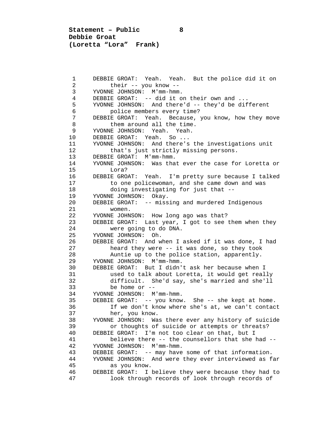**Statement – Public 8 Debbie Groat (Loretta "Lora" Frank)**

1 DEBBIE GROAT: Yeah. Yeah. But the police did it on<br>2 their -- you know --2 their -- you know --<br>3 YVONNE JOHNSON: M'mm-hmm 3 YVONNE JOHNSON: M'mm-hmm. 4 DEBBIE GROAT: -- did it on their own and ...<br>5 YVONNE JOHNSON: And there'd -- they'd be dif 5 YVONNE JOHNSON: And there'd -- they'd be different 6 police members every time?<br>7 DEBBIE GROAT: Yeah. Because. 7 DEBBIE GROAT: Yeah. Because, you know, how they move 8 them around all the time.<br>9 YVONNE JOHNSON: Yeah. Yeah. 9 YVONNE JOHNSON: Yeah. Yeah. 10 DEBBIE GROAT: Yeah. So ...<br>11 YVONNE JOHNSON: And there's 11 YVONNE JOHNSON: And there's the investigations unit<br>12 that's just strictly missing persons. 12 that's just strictly missing persons.<br>13 DEBBIE GROAT: M'mm-hmm. 13 DEBBIE GROAT: M'mm-hmm.<br>14 YVONNE JOHNSON: Was tha 14 YVONNE JOHNSON: Was that ever the case for Loretta or 15 Lora?<br>16 DEBBIE GRO. 16 DEBBIE GROAT: Yeah. I'm pretty sure because I talked<br>17 to one policewoman, and she came down and was 17 to one policewoman, and she came down and was<br>18 doing investigating for just that --18 doing investigating for just that --<br>19 YVONNE JOHNSON: Okay. 19 YVONNE JOHNSON: Okay.<br>20 DEBBIE GROAT: -- miss 20 DEBBIE GROAT: -- missing and murdered Indigenous<br>21 women. 21 women.<br>22 YVONNE JOHN 22 YVONNE JOHNSON: How long ago was that?<br>23 DEBBIE GROAT: Last year, I got to see 23 DEBBIE GROAT: Last year, I got to see them when they<br>24 were going to do DNA. 24 were going to do DNA.<br>25 YVONNE JOHNSON: Oh. 25 YVONNE JOHNSON: Oh.<br>26 DEBBIE GROAT: And w 26 DEBBIE GROAT: And when I asked if it was done, I had<br>27 heard they were -- it was done, so they took 27 heard they were -- it was done, so they took<br>28 huntie up to the police station, apparently. 28 Auntie up to the police station, apparently.<br>29 YVONNE JOHNSON: M'mm-hmm. 29 YVONNE JOHNSON: M'mm-hmm.<br>30 DEBBIE GROAT: But I didn' 30 DEBBIE GROAT: But I didn't ask her because when I 31 used to talk about Loretta, it would get really<br>32 difficult. She'd say, she's married and she'll 32 difficult. She'd say, she's married and she'll 33 be home or --<br>34 YVONNE JOHNSON: M 34 YVONNE JOHNSON: M'mm-hmm.<br>35 DEBBIE GROAT: -- you know 35 DEBBIE GROAT: -- you know. She -- she kept at home. 36 If we don't know where she's at, we can't contact<br>37 her, you know. 37 her, you know.<br>38 YVONNE JOHNSON: Wa 38 YVONNE JOHNSON: Was there ever any history of suicide 39 or thoughts of suicide or attempts or threats?<br>40 DEBBIE GROAT: I'm not too clear on that, but I 40 DEBBIE GROAT: I'm not too clear on that, but I 41 believe there -- the counsellors that she had --<br>42 YVONNE JOHNSON: M'mm-hmm. 42 YVONNE JOHNSON: M'mm-hmm. 43 DEBBIE GROAT: -- may have some of that information. 44 YVONNE JOHNSON: And were they ever interviewed as far 45 as you know.<br>46 DEBBIE GROAT: I 46 DEBBIE GROAT: I believe they were because they had to look through records of look through records of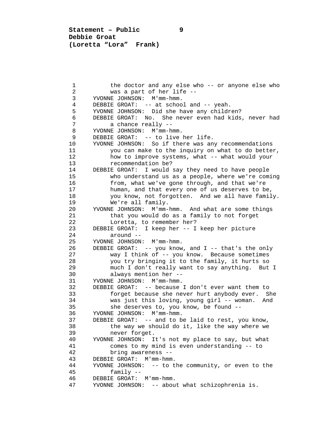**Statement – Public 9 Debbie Groat (Loretta "Lora" Frank)**

1 the doctor and any else who -- or anyone else who 2 2 was a part of her life --<br>3 YVONNE JOHNSON: M'mm-hmm. 3 YVONNE JOHNSON: M'mm-hmm. 4 DEBBIE GROAT: -- at school and -- yeah.<br>5 YVONNE JOHNSON: Did she have any childr 5 YVONNE JOHNSON: Did she have any children?<br>6 DEBBIE GROAT: No. She never even had kids 6 DEBBIE GROAT: No. She never even had kids, never had 7 a chance really --<br>8 YVONNE JOHNSON: M'mm-h 8 YVONNE JOHNSON: M'mm-hmm.<br>9 DEBBIE GROAT: -- to live 9 DEBBIE GROAT: -- to live her life.<br>10 YVONNE JOHNSON: So if there was an 10 YVONNE JOHNSON: So if there was any recommendations<br>11 You can make to the inquiry on what to do bette: 11 you can make to the inquiry on what to do better,<br>12 how to improve systems, what -- what would your 12 how to improve systems, what -- what would your<br>13 recommendation be? 13 recommendation be?<br>14 DEBBIE GROAT: I would 14 DEBBIE GROAT: I would say they need to have people<br>15 who understand us as a people, where we're com 15 who understand us as a people, where we're coming<br>16 from, what we've gone through, and that we're 16 from, what we've gone through, and that we're<br>17 human, and that every one of us deserves to be 17 human, and that every one of us deserves to be,<br>18 The Wou know, not forgotten. And we all have family 18 you know, not forgotten. And we all have family.<br>19 We're all family. 19 We're all family.<br>20 YVONNE JOHNSON: M'mm-20 YVONNE JOHNSON: M'mm-hmm. And what are some things<br>21 that you would do as a family to not forget 21 that you would do as a family to not forget<br>22 Loretta, to remember her? 22 Loretta, to remember her?<br>23 DEBBIE GROAT: I keep her -- I 23 DEBBIE GROAT: I keep her -- I keep her picture<br>24 around --24 around --<br>25 YVONNE JOHNSON 25 YVONNE JOHNSON: M'mm-hmm.<br>26 DEBBIE GROAT: -- vou know 26 DEBBIE GROAT: -- you know, and I -- that's the only<br>27 Way I think of -- you know Because sometimes 27 way I think of -- you know. Because sometimes<br>28 vou try bringing it to the family, it hurts so 28 you try bringing it to the family, it hurts so<br>29 much I don't really want to say anything. But 29 much I don't really want to say anything. But I<br>30 always mention her --30 always mention her --<br>31 YVONNE JOHNSON: M'mm-hmm. 31 YVONNE JOHNSON: M'mm-hmm.<br>32 DEBBIE GROAT: -- because 32 DEBBIE GROAT: -- because I don't ever want them to 33 forget because she never hurt anybody ever. She 34 was just this loving, young girl -- woman. And<br>35 She deserves to, you know, be found --35 she deserves to, you know, be found --<br>36 YVONNE JOHNSON: M'mm-hmm. 36 YVONNE JOHNSON: M'mm-hmm. 37 DEBBIE GROAT: -- and to be laid to rest, you know,<br>38 the way we should do it, like the way where we 38 the way we should do it, like the way where we<br>39 hever forget. 39 never forget.<br>40 YVONNE JOHNSON: I 40 YVONNE JOHNSON: It's not my place to say, but what 41 comes to my mind is even understanding -- to 42 42 bring awareness --<br>43 DEBBIE GROAT: M'mm-hmm 43 DEBBIE GROAT: M'mm-hmm.<br>44 YVONNE JOHNSON: -- to t 44 YVONNE JOHNSON: -- to the community, or even to the 45 family -- 46 DEBBIE GROAT: M'mm-hmm.<br>47 YVONNE JOHNSON: -- abou YVONNE JOHNSON: -- about what schizophrenia is.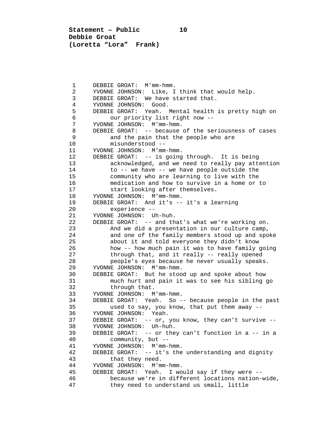**Statement – Public 10 Debbie Groat (Loretta "Lora" Frank)**

1 DEBBIE GROAT: M'mm-hmm.<br>2 YVONNE JOHNSON: Like. I 2 YVONNE JOHNSON: Like, I think that would help.<br>3 DEBBIE GROAT: We have started that. 3 DEBBIE GROAT: We have started that.<br>4 YVONNE JOHNSON: Good. 4 YVONNE JOHNSON: Good.<br>5 DEBBIE GROAT: Yeah. I 5 DEBBIE GROAT: Yeah. Mental health is pretty high on 6 our priority list right now --<br>7 YVONNE JOHNSON: M'mm-hmm. 7 YVONNE JOHNSON: M'mm-hmm.<br>8 DEBBIE GROAT: -- because 8 DEBBIE GROAT: -- because of the seriousness of cases<br>9 and the pain that the people who are 9 and the pain that the people who are<br>10 misunderstood --10 misunderstood --<br>11 YVONNE JOHNSON: M'mm 11 YVONNE JOHNSON: M'mm-hmm.<br>12 DEBBIE GROAT: -- is going 12 DEBBIE GROAT: -- is going through. It is being<br>13 acknowledged, and we need to really pay atter 13 acknowledged, and we need to really pay attention<br>14 to -- we have -- we have people outside the 14 to -- we have -- we have people outside the<br>15 community who are learning to live with the 15 community who are learning to live with the<br>16 medication and how to survive in a home or 16 medication and how to survive in a home or to<br>17 start looking after themselves. 17 start looking after themselves.<br>18 YVONNE JOHNSON: M'mm-hmm. 18 YVONNE JOHNSON: M'mm-hmm.<br>19 DEBBIE GROAT: And it's --19 DEBBIE GROAT: And it's -- it's a learning<br>20 experience --20 experience --<br>21 YVONNE JOHNSON: U 21 YVONNE JOHNSON: Uh-huh.<br>22 DEBBIE GROAT: -- and th 22 DEBBIE GROAT: -- and that's what we're working on.<br>23 And we did a presentation in our culture camp, 23 And we did a presentation in our culture camp,<br>24 and one of the family members stood up and spo 24 and one of the family members stood up and spoke<br>25 about it and told everyone they didn't know 25 about it and told everyone they didn't know<br>26 how -- how much pain it was to have family o 26 how -- how much pain it was to have family going<br>27 through that, and it really -- really opened 27 through that, and it really -- really opened<br>28 oeople's eves because he never usually speaks 28 people's eyes because he never usually speaks.<br>29 YVONNE JOHNSON: M'mm-hmm. 29 YVONNE JOHNSON: M'mm-hmm.<br>30 DEBBIE GROAT: But he stoo 30 DEBBIE GROAT: But he stood up and spoke about how<br>31 much hurt and pain it was to see his sibling 31 much hurt and pain it was to see his sibling go 32 through that.<br>33 YVONNE JOHNSON: M 33 YVONNE JOHNSON: M'mm-hmm. 34 DEBBIE GROAT: Yeah. So -- because people in the past<br>35 used to say, you know, that put them away --35 used to say, you know, that put them away --<br>36 YVONNE JOHNSON: Yeah. 36 YVONNE JOHNSON: Yeah.<br>37 DEBBIE GROAT: -- or. 37 DEBBIE GROAT: -- or, you know, they can't survive --<br>38 YVONNE JOHNSON: Uh-huh. 38 YVONNE JOHNSON: Uh-huh.<br>39 DEBBIE GROAT: -- or the 39 DEBBIE GROAT: -- or they can't function in a -- in a 40 community, but --<br>41 YVONNE JOHNSON: M'mm-1 41 YVONNE JOHNSON: M'mm-hmm.<br>42 DEBBIE GROAT: -- it's the 42 DEBBIE GROAT: -- it's the understanding and dignity 43 that they need.<br>44 YVONNE JOHNSON: M'm 44 YVONNE JOHNSON: M'mm-hmm. 45 DEBBIE GROAT: Yeah. I would say if they were -- 46 because we're in different locations nation-wide,<br>47 they need to understand us small, little they need to understand us small, little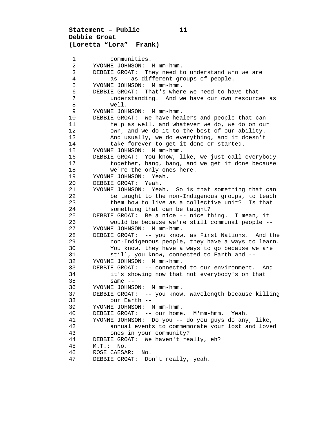## **Statement – Public 11 Debbie Groat (Loretta "Lora" Frank)**

1 communities.<br>2 YVONNE JOHNSON: 2 YVONNE JOHNSON: M'mm-hmm.<br>3 DEBBIE GROAT: They need t 3 DEBBIE GROAT: They need to understand who we are<br>4 as -- as different groups of people 4 as -- as different groups of people.<br>5 YVONNE JOHNSON: M'mm-hmm. 5 YVONNE JOHNSON: M'mm-hmm.<br>6 DEBBIE GROAT: That's wher 6 DEBBIE GROAT: That's where we need to have that 7 understanding. And we have our own resources as 8 well.<br>9 YVONNE JOH 9 YVONNE JOHNSON: M'mm-hmm.<br>10 DEBBIE GROAT: We have hea 10 DEBBIE GROAT: We have healers and people that can<br>11 help as well, and whatever we do, we do on our 11 help as well, and whatever we do, we do on our<br>12 own, and we do it to the best of our ability. 12 own, and we do it to the best of our ability.<br>13 And usually, we do everything, and it doesn't 13 And usually, we do everything, and it doesn't<br>14 take forever to get it done or started. 14 take forever to get it done or started.<br>15 YVONNE JOHNSON: M'mm-hmm. 15 YVONNE JOHNSON: M'mm-hmm.<br>16 DEBBIE GROAT: You know. 1 16 DEBBIE GROAT: You know, like, we just call everybody<br>17 together, bang, bang, and we get it done because 17 together, bang, bang, and we get it done because<br>18 we're the only ones here. 18 we're the only ones here.<br>19 YVONNE JOHNSON: Yeah. 19 YVONNE JOHNSON: Yeah.<br>20 DEBBIE GROAT: Yeah. 20 DEBBIE GROAT: Yeah.<br>21 YVONNE JOHNSON: Yea 21 YVONNE JOHNSON: Yeah. So is that something that can<br>22 be taught to the non-Indigenous groups, to teach 22 be taught to the non-Indigenous groups, to teach<br>23 them how to live as a collective unit? Is that 23 them how to live as a collective unit? Is that<br>24 something that can be taught? 24 something that can be taught?<br>25 DEBBIE GROAT: Be a nice -- nice t 25 DEBBIE GROAT: Be a nice -- nice thing. I mean, it 26 would be because we're still communal people --<br>27 YVONNE JOHNSON: M'mm-hmm. 27 YVONNE JOHNSON: M'mm-hmm.<br>28 DEBBIE GROAT: -- you know 28 DEBBIE GROAT: -- you know, as First Nations. And the 29 100 non-Indigenous people, they have a ways to learn.<br>20 10 100 100 know, they have a ways to go because we are 30 You know, they have a ways to go because we are<br>31 still, you know, connected to Earth and --31 still, you know, connected to Earth and --<br>32 YVONNE JOHNSON: M'mm-hmm. 32 YVONNE JOHNSON: M'mm-hmm. 33 DEBBIE GROAT: -- connected to our environment. And<br>34 it's showing now that not everybody's on that 34 it's showing now that not everybody's on that 35 same --<br>36 YVONNE JOHNS 36 YVONNE JOHNSON: M'mm-hmm. 37 DEBBIE GROAT: -- you know, wavelength because killing 38 our Earth --<br>39 YVONNE JOHNSON: 39 YVONNE JOHNSON: M'mm-hmm.<br>40 DEBBIE GROAT: -- our home 40 DEBBIE GROAT: -- our home. M'mm-hmm. Yeah. 41 YVONNE JOHNSON: Do you -- do you guys do any, like, 42 annual events to commemorate your lost and loved<br>43 ones in your community? 43 ones in your community?<br>44 DEBBIE GROAT: We haven't rea 44 DEBBIE GROAT: We haven't really, eh?<br>45 M.T.: No. 45 M.T.: No.<br>46 ROSE CAESA 46 ROSE CAESAR: No.<br>47 DEBBIE GROAT: Do DEBBIE GROAT: Don't really, yeah.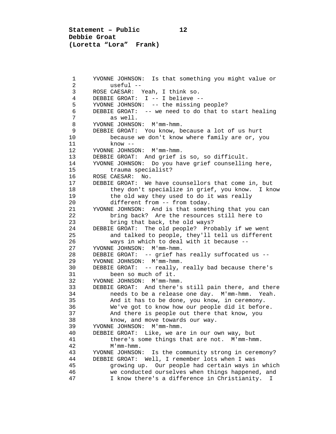**Statement – Public 12 Debbie Groat (Loretta "Lora" Frank)**

 1 YVONNE JOHNSON: Is that something you might value or 2 useful --<br>3 ROSE CAESAR: 1 3 ROSE CAESAR: Yeah, I think so. 4 DEBBIE GROAT: I -- I believe --<br>5 YVONNE JOHNSON: -- the missing 5 YVONNE JOHNSON: -- the missing people?<br>6 DEBBIE GROAT: -- we need to do that to 6 DEBBIE GROAT: -- we need to do that to start healing<br>7 as well. 7 as well.<br>8 YVONNE JOHNSOI 8 YVONNE JOHNSON: M'mm-hmm.<br>9 DEBBIE GROAT: YOU know. b 9 DEBBIE GROAT: You know, because a lot of us hurt<br>10 because we don't know where family are or, you 10 because we don't know where family are or, you<br>11 know --11 know --<br>12 YVONNE JOHNS 12 YVONNE JOHNSON: M'mm-hmm.<br>13 DEBBIE GROAT: And grief i 13 DEBBIE GROAT: And grief is so, so difficult.<br>14 YVONNE JOHNSON: Do you have grief counsellin 14 YVONNE JOHNSON: Do you have grief counselling here, 15 trauma specialist?<br>16 ROSE CAESAR: No. 16 ROSE CAESAR: No.<br>17 DEBBIE GROAT: We 17 DEBBIE GROAT: We have counsellors that come in, but<br>18 they don't specialize in grief, you know. I kn 18 they don't specialize in grief, you know. I know<br>19 the old way they used to do it was really 19 the old way they used to do it was really<br>20 different from -- from today. 20 different from -- from today.<br>21 YVONNE JOHNSON: And is that somet 21 YVONNE JOHNSON: And is that something that you can<br>22 bring back? Are the resources still here to 22 bring back? Are the resources still here to<br>23 bring that back, the old ways? 23 bring that back, the old ways?<br>24 DEBBIE GROAT: The old people? Pro 24 DEBBIE GROAT: The old people? Probably if we went 25 and talked to people, they'll tell us different<br>26 ways in which to deal with it because --26 ways in which to deal with it because --<br>27 YVONNE JOHNSON: M'mm-hmm. 27 YVONNE JOHNSON: M'mm-hmm.<br>28 DEBBIE GROAT: -- grief ha 28 DEBBIE GROAT: -- grief has really suffocated us --<br>29 YVONNE JOHNSON: M'mm-hmm. 29 YVONNE JOHNSON: M'mm-hmm.<br>30 DEBBIE GROAT: -- really, 30 DEBBIE GROAT: -- really, really bad because there's 31 been so much of it.<br>32 YVONNE JOHNSON: M'mm-hm 32 YVONNE JOHNSON: M'mm-hmm.<br>33 DEBBIE GROAT: And there's 33 DEBBIE GROAT: And there's still pain there, and there<br>34 Theeds to be a release one day. M'mm-hmm. Yeah. 34 needs to be a release one day. M'mm-hmm. Yeah.<br>35 And it has to be done, you know, in ceremony. 35 And it has to be done, you know, in ceremony.<br>36 We've got to know how our people did it befor 36 We've got to know how our people did it before.<br>37 And there is people out there that know, you 37 And there is people out there that know, you<br>38 Know, and move towards our way. 38 know, and move towards our way.<br>39 YVONNE JOHNSON: M'mm-hmm. 39 YVONNE JOHNSON: M'mm-hmm. 40 DEBBIE GROAT: Like, we are in our own way, but<br>41 there's some things that are not. M'mm-hm 41 there's some things that are not. M'mm-hmm.<br>42 M'mm-hmm. 42 M'mm-hmm.<br>43 YVONNE JOHNSON 43 YVONNE JOHNSON: Is the community strong in ceremony?<br>44 DEBBIE GROAT: Well, I remember lots when I was 44 DEBBIE GROAT: Well, I remember lots when I was 45 growing up. Our people had certain ways in which<br>46 we conducted ourselves when things happened, and 46 we conducted ourselves when things happened, and<br>47 The Mow there's a difference in Christianity. I I know there's a difference in Christianity. I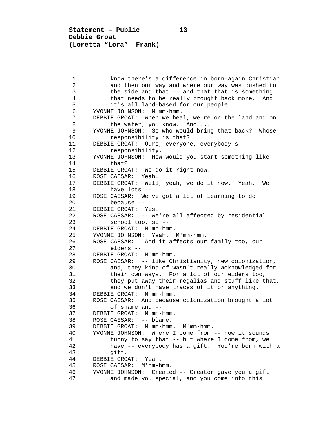**Statement – Public 13 Debbie Groat (Loretta "Lora" Frank)**

1 know there's a difference in born-again Christian<br>2 and then our way and where our way was pushed to 2 and then our way and where our way was pushed to<br>3 the side and that -- and that that is something 3 the side and that -- and that that is something<br>4 that needs to be really brought back more. And 4 that needs to be really brought back more. And<br>5 it's all land-based for our people. 5 it's all land-based for our people.<br>6 YVONNE JOHNSON: M'mm-hmm. 6 YVONNE JOHNSON: M'mm-hmm. 7 DEBBIE GROAT: When we heal, we're on the land and on<br>8 the water, you know. And ... 8 the water, you know. And ...<br>9 YVONNE JOHNSON: So who would brin 9 YVONNE JOHNSON: So who would bring that back? Whose 10 responsibility is that?<br>11 DEBBIE GROAT: Ours, everyon 11 DEBBIE GROAT: Ours, everyone, everybody's<br>12 responsibility. 12 responsibility.<br>13 YVONNE JOHNSON: How 13 YVONNE JOHNSON: How would you start something like 14 that?<br>15 DEBBIE GRO. 15 DEBBIE GROAT: We do it right now.<br>16 ROSE CAESAR: Yeah. 16 ROSE CAESAR: Yeah.<br>17 DEBBIE GROAT: Well 17 DEBBIE GROAT: Well, yeah, we do it now. Yeah. We 18 18 have lots --<br>19 ROSE CAESAR: We'' 19 ROSE CAESAR: We've got a lot of learning to do 20 because --<br>21 DEBBIE GROAT: 21 DEBBIE GROAT: Yes.<br>22 ROSE CAESAR: -- we 22 ROSE CAESAR: -- we're all affected by residential<br>23 school too, so --23 school too, so --<br>24 DEBBIE GROAT: M'mm-hm 24 DEBBIE GROAT: M'mm-hmm.<br>25 YVONNE JOHNSON: Yeah. 25 YVONNE JOHNSON: Yeah. M'mm-hmm.<br>26 ROSE CAESAR: And it affects our 26 ROSE CAESAR: And it affects our family too, our 27 elders --<br>28 DEBBIE GROAT: 28 DEBBIE GROAT: M'mm-hmm.<br>29 ROSE CAESAR: -- like Ch 29 ROSE CAESAR: -- like Christianity, new colonization, 30 and, they kind of wasn't really acknowledged for<br>31 their own ways. For a lot of our elders too, 31 their own ways. For a lot of our elders too,<br>32 they put away their regalias and stuff like t 32 they put away their regalias and stuff like that,<br>33 and we don't have traces of it or anything. 33 and we don't have traces of it or anything.<br>34 DEBBIE GROAT: M'mm-hmm. 34 DEBBIE GROAT: M'mm-hmm.<br>35 ROSE CAESAR: And becaus 35 ROSE CAESAR: And because colonization brought a lot<br>36 of shame and --36 of shame and --<br>37 DEBBIE GROAT: M'mm-37 DEBBIE GROAT: M'mm-hmm.<br>38 ROSE CAESAR: -- blame. 38 ROSE CAESAR: -- blame.<br>39 DEBBIE GROAT: M'mm-hmm 39 DEBBIE GROAT: M'mm-hmm. M'mm-hmm.<br>40 YVONNE JOHNSON: Where I come from 40 YVONNE JOHNSON: Where I come from -- now it sounds 41 funny to say that -- but where I come from, we<br>42 have -- everybody has a gift. You're born with 42 have -- everybody has a gift. You're born with a 43 gift.<br>44 DEBBIE GRO 44 DEBBIE GROAT: Yeah.<br>45 ROSE CAESAR: M'mm-h 45 ROSE CAESAR: M'mm-hmm. 46 YVONNE JOHNSON: Created -- Creator gave you a gift and made you special, and you come into this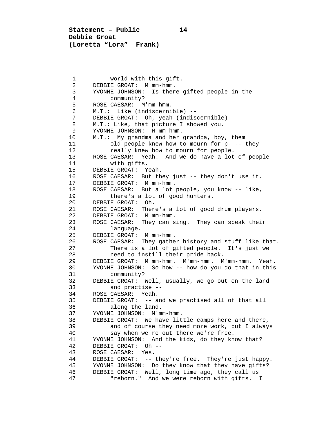**Statement – Public 14 Debbie Groat (Loretta "Lora" Frank)**

1 world with this gift.<br>2 DEBBIE GROAT: M'mm-hmm. 2 DEBBIE GROAT: M'mm-hmm.<br>3 YVONNE JOHNSON: Is ther 3 YVONNE JOHNSON: Is there gifted people in the 4 community?<br>5 ROSE CAESAR: M 5 ROSE CAESAR: M'mm-hmm. 6 M.T.: Like (indiscernible) -- 7 DEBBIE GROAT: Oh, yeah (indiscernible) -- 8 M.T.: Like, that picture I showed you.<br>9 YVONNE JOHNSON: M'mm-hmm. 9 YVONNE JOHNSON: M'mm-hmm.<br>10 M.T.: My grandma and her 10 M.T.: My grandma and her grandpa, boy, them<br>11 old people knew how to mourn for p- --11 old people knew how to mourn for p- -- they<br>12 Teally knew how to mourn for people. 12 really knew how to mourn for people.<br>13 ROSE CAESAR: Yeah. And we do have a lot 13 ROSE CAESAR: Yeah. And we do have a lot of people 14 with gifts. 14 with gifts.<br>15 DEBBIE GROAT: Y 15 DEBBIE GROAT: Yeah.<br>16 ROSE CAESAR: But th 16 ROSE CAESAR: But they just -- they don't use it.<br>17 DEBBIE GROAT: M'mm-hmm. 17 DEBBIE GROAT: M'mm-hmm.<br>18 ROSE CAESAR: But a lot 18 ROSE CAESAR: But a lot people, you know -- like,<br>19 there's a lot of good hunters. 19 there's a lot of good hunters.<br>20 DEBBIE GROAT: Oh. 20 DEBBIE GROAT: Oh.<br>21 ROSE CAESAR: Ther 21 ROSE CAESAR: There's a lot of good drum players.<br>22 DEBBIE GROAT: M'mm-hmm. 22 DEBBIE GROAT: M'mm-hmm.<br>23 ROSE CAESAR: They can s 23 ROSE CAESAR: They can sing. They can speak their<br>24 language. 24 language.<br>25 DEBBIE GROAT: 25 DEBBIE GROAT: M'mm-hmm.<br>26 ROSE CAESAR: They gathe 26 ROSE CAESAR: They gather history and stuff like that.<br>27 There is a lot of gifted people. It's just we 27 There is a lot of gifted people. It's just we<br>28 heed to instill their pride back. 28 10 need to instill their pride back.<br>29 DEBBIE GROAT: M'mm-hmm. M'mm-hmm. M 29 DEBBIE GROAT: M'mm-hmm. M'mm-hmm. M'mm-hmm. Yeah. 30 YVONNE JOHNSON: So how -- how do you do that in this 31 community?<br>32 DEBBIE GROAT: 1 32 DEBBIE GROAT: Well, usually, we go out on the land<br>33 and practise --33 and practise --<br>34 ROSE CAESAR: Yeah. 34 ROSE CAESAR: Yeah.<br>35 DEBBIE GROAT: -- a 35 DEBBIE GROAT: -- and we practised all of that all<br>36 along the land. 36 along the land.<br>37 YVONNE JOHNSON: M'm 37 YVONNE JOHNSON: M'mm-hmm.<br>38 DEBBIE GROAT: We have lit 38 DEBBIE GROAT: We have little camps here and there,<br>39 and of course they need more work, but I alway 39 and of course they need more work, but I always 40 say when we're out there we're free.<br>41 YVONNE JOHNSON: And the kids, do they kn 41 YVONNE JOHNSON: And the kids, do they know that?<br>42 DEBBIE GROAT: Oh --42 DEBBIE GROAT: Oh --<br>43 ROSE CAESAR: Yes. 43 ROSE CAESAR: Yes.<br>44 DEBBIE GROAT: -- 44 DEBBIE GROAT: -- they're free. They're just happy. 45 YVONNE JOHNSON: Do they know that they have gifts?<br>46 DEBBIE GROAT: Well, long time ago, they call us 46 DEBBIE GROAT: Well, long time ago, they call us "reborn." And we were reborn with gifts. I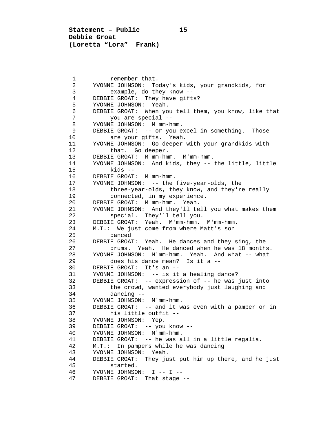**Statement – Public 15 Debbie Groat (Loretta "Lora" Frank)**

1 remember that.<br>2 YVONNE JOHNSON: To 2 YVONNE JOHNSON: Today's kids, your grandkids, for 3 example, do they know --<br>4 DEBBIE GROAT: They have gift 4 DEBBIE GROAT: They have gifts?<br>5 YVONNE JOHNSON: Yeah. 5 YVONNE JOHNSON: Yeah.<br>6 DEBBIE GROAT: When yo 6 DEBBIE GROAT: When you tell them, you know, like that 7 you are special --<br>8 YVONNE JOHNSON: M'mm-h 8 YVONNE JOHNSON: M'mm-hmm.<br>9 DEBBIE GROAT: -- or you e 9 DEBBIE GROAT: -- or you excel in something. Those<br>10 are your gifts. Yeah. 10 are your gifts. Yeah.<br>11 YVONNE JOHNSON: Go deeper 11 YVONNE JOHNSON: Go deeper with your grandkids with 12 12 that. Go deeper.<br>13 DEBBIE GROAT: M'mm-hm 13 DEBBIE GROAT: M'mm-hmm. M'mm-hmm.<br>14 YVONNE JOHNSON: And kids, they -- 14 YVONNE JOHNSON: And kids, they -- the little, little 15 kids -- 16 DEBBIE GROAT: M'mm-hmm.<br>17 YVONNE JOHNSON: -- the 17 YVONNE JOHNSON: -- the five-year-olds, the<br>18 three-year-olds, they know, and they'r 18 three-year-olds, they know, and they're really<br>19 connected, in my experience. 19 connected, in my experience.<br>20 DEBBIE GROAT: M'mm-hmm. Yeah. 20 DEBBIE GROAT: M'mm-hmm. Yeah.<br>21 YVONNE JOHNSON: And they'll te 21 YVONNE JOHNSON: And they'll tell you what makes them 22 special. They'll tell you.<br>23 DEBBIE GROAT: Yeah. M'mm-hmm. 23 DEBBIE GROAT: Yeah. M'mm-hmm. M'mm-hmm.<br>24 M.T.: We just come from where Matt's son 24 M.T.: We just come from where Matt's son<br>25 danced 25 danced 26 DEBBIE GROAT: Yeah. He dances and they sing, the 27 drums. Yeah. He danced when he was 18 month. 27 drums. Yeah. He danced when he was 18 months.<br>28 YVONNE JOHNSON: M'mm-hmm. Yeah. And what -- what 28 YVONNE JOHNSON:  $M'$ mm-hmm. Yeah. And what -- what  $29$  does his dance mean? Is it a --29 does his dance mean? Is it a --<br>30 DEBBIE GROAT: It's an --30 DEBBIE GROAT: It's an --<br>31 YVONNE JOHNSON: -- is it 31 YVONNE JOHNSON: -- is it a healing dance?<br>32 DEBBIE GROAT: -- expression of -- he was 32 DEBBIE GROAT: -- expression of -- he was just into 33 the crowd, wanted everybody just laughing and 34 dancing --<br>35 YVONNE JOHNSON: 35 YVONNE JOHNSON: M'mm-hmm.<br>36 DEBBIE GROAT: -- and it w 36 DEBBIE GROAT: -- and it was even with a pamper on in 37 his little outfit --<br>38 YVONNE JOHNSON: Yep. 38 YVONNE JOHNSON: Yep.<br>39 DEBBIE GROAT: -- you 39 DEBBIE GROAT: -- you know --<br>40 YVONNE JOHNSON: M'mm-hmm. 40 YVONNE JOHNSON: M'mm-hmm. 41 DEBBIE GROAT: -- he was all in a little regalia. 42 M.T.: In pampers while he was dancing 43 YVONNE JOHNSON: Yeah.<br>44 DEBBIE GROAT: They ju 44 DEBBIE GROAT: They just put him up there, and he just 45 started.<br>46 YVONNE JOHNSOI 46 YVONNE JOHNSON: I -- I -- DEBBIE GROAT: That stage --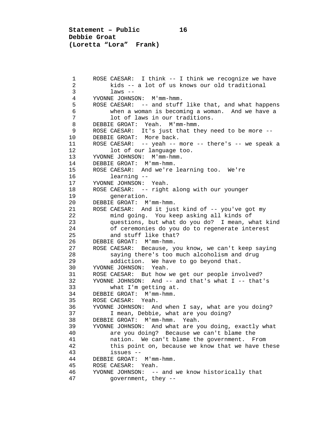**Statement – Public 16 Debbie Groat (Loretta "Lora" Frank)**

1 ROSE CAESAR: I think -- I think we recognize we have<br>2 kids -- a lot of us knows our old traditional 2 kids -- a lot of us knows our old traditional 3 laws --<br>4 YVONNE JOHNS 4 YVONNE JOHNSON: M'mm-hmm.<br>5 ROSE CAESAR: -- and stuff 5 ROSE CAESAR: -- and stuff like that, and what happens 6 when a woman is becoming a woman. And we have a 7 lot of laws in our traditions.<br>8 DEBBIE GROAT: Yeah. M'mm-hmm. 8 DEBBIE GROAT: Yeah. M'mm-hmm.<br>9 ROSE CAESAR: It's just that the 9 ROSE CAESAR: It's just that they need to be more --<br>10 DEBBIE GROAT: More back. 10 DEBBIE GROAT: More back.<br>11 ROSE CAESAR: -- yeah --11 ROSE CAESAR: -- yeah -- more -- there's -- we speak a<br>12 lot of our language too. 12 lot of our language too.<br>13 YVONNE JOHNSON: M'mm-hmm. 13 YVONNE JOHNSON: M'mm-hmm.<br>14 DEBBIE GROAT: M'mm-hmm. 14 DEBBIE GROAT: M'mm-hmm.<br>15 ROSE CAESAR: And we're 15 ROSE CAESAR: And we're learning too. We're 16 learning -- 17 YVONNE JOHNSON: Yeah.<br>18 ROSE CAESAR: -- right 18 ROSE CAESAR: -- right along with our younger<br>19 generation. 19 generation.<br>20 DEBBIE GROAT: M 20 DEBBIE GROAT: M'mm-hmm.<br>21 ROSE CAESAR: And it jus 21 ROSE CAESAR: And it just kind of -- you've got my 22 mind going. You keep asking all kinds of<br>23 cuestions, but what do you do? I mean, w 23 equestions, but what do you do? I mean, what kind<br>24 ferro of ceremonies do you do to regenerate interest 24 of ceremonies do you do to regenerate interest<br>25 and stuff like that? 25 and stuff like that?<br>26 DEBBIE GROAT: M'mm-hmm. 26 DEBBIE GROAT: M'mm-hmm.<br>27 ROSE CAESAR: Because, v 27 ROSE CAESAR: Because, you know, we can't keep saying<br>28 Saving there's too much alcoholism and drug 28 saying there's too much alcoholism and drug<br>29 addiction. We have to go beyond that. 29 addiction. We have to go beyond that.<br>30 YVONNE JOHNSON: Yeah. 30 YVONNE JOHNSON: Yeah.<br>31 ROSE CAESAR: But how 31 ROSE CAESAR: But how we get our people involved?<br>32 YVONNE JOHNSON: And -- and that's what I -- that 32 YVONNE JOHNSON: And -- and that's what I -- that's 33 what I'm getting at.<br>34 DEBBIE GROAT: M'mm-hmm 34 DEBBIE GROAT: M'mm-hmm.<br>35 ROSE CAESAR: Yeah. 35 ROSE CAESAR: Yeah.<br>36 YVONNE JOHNSON: An 36 YVONNE JOHNSON: And when I say, what are you doing? 37 I mean, Debbie, what are you doing?<br>38 DEBBIE GROAT: M'mm-hmm. Yeah. 38 DEBBIE GROAT: M'mm-hmm. Yeah.<br>39 YVONNE JOHNSON: And what are you 39 YVONNE JOHNSON: And what are you doing, exactly what 40 are you doing? Because we can't blame the 41 mation. We can't blame the government. From<br>42 this point on, because we know that we have the 42 this point on, because we know that we have these<br>43 1ssues -- 43 issues -- 44 DEBBIE GROAT: M'mm-hmm.<br>45 ROSE CAESAR: Yeah. 45 ROSE CAESAR: Yeah.<br>46 YVONNE JOHNSON: -- 46 YVONNE JOHNSON: -- and we know historically that government, they --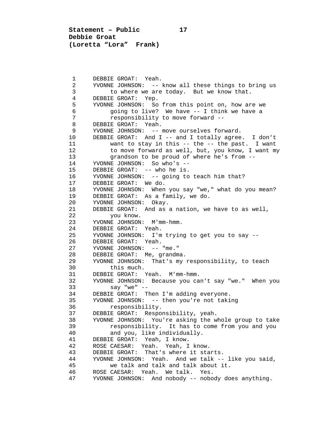**Statement – Public 17 Debbie Groat (Loretta "Lora" Frank)**

1 DEBBIE GROAT: Yeah.<br>2 YVONNE JOHNSON: --2 YVONNE JOHNSON: -- know all these things to bring us<br>3 to where we are today. But we know that. 3 to where we are today. But we know that.<br>4 DEBBIE GROAT: Yep. 4 DEBBIE GROAT: Yep.<br>5 YVONNE JOHNSON: So 5 YVONNE JOHNSON: So from this point on, how are we 6 going to live? We have  $-$  I think we have a<br>7 responsibility to move forward  $-$ 7 responsibility to move forward --<br>8 DEBBIE GROAT: Yeah. 8 DEBBIE GROAT: Yeah.<br>9 YVONNE JOHNSON: --9 YVONNE JOHNSON: -- move ourselves forward.<br>10 DEBBIE GROAT: And I -- and I totally agree 10 DEBBIE GROAT: And I -- and I totally agree. I don't 11 want to stay in this -- the -- the past. I want<br>12 to move forward as well, but, you know, I want m 12 to move forward as well, but, you know, I want my<br>13 orandson to be proud of where he's from --13 grandson to be proud of where he's from --<br>14 YVONNE JOHNSON: So who's --14 YVONNE JOHNSON: So who's --<br>15 DEBBIE GROAT: -- who he is. 15 DEBBIE GROAT: -- who he is.<br>16 YVONNE JOHNSON: -- going to 16 YVONNE JOHNSON: -- going to teach him that?<br>17 DEBBIE GROAT: We do. 17 DEBBIE GROAT: We do.<br>18 YVONNE JOHNSON: When 18 YVONNE JOHNSON: When you say "we," what do you mean?<br>19 DEBBIE GROAT: As a family, we do. 19 DEBBIE GROAT: As a family, we do.<br>20 YVONNE JOHNSON: Okav. 20 YVONNE JOHNSON: Okay.<br>21 DEBBIE GROAT: And as 21 DEBBIE GROAT: And as a nation, we have to as well,<br>22 vou know. 22 you know.<br>23 YVONNE JOHNSON: 23 YVONNE JOHNSON: M'mm-hmm.<br>24 DEBBIE GROAT: Yeah. 24 DEBBIE GROAT: Yeah.<br>25 YVONNE JOHNSON: I'm 25 YVONNE JOHNSON: I'm trying to get you to say -- 26 DEBBIE GROAT: Yeah.<br>27 YVONNE JOHNSON: --27 YVONNE JOHNSON: -- "me."<br>28 DEBBIE GROAT: Me. grandm 28 DEBBIE GROAT: Me, grandma.<br>29 YVONNE JOHNSON: That's my 29 YVONNE JOHNSON: That's my responsibility, to teach 30 this much.<br>31 DEBBIE GROAT: 1 31 DEBBIE GROAT: Yeah. M'mm-hmm. 32 YVONNE JOHNSON: Because you can't say "we." When you 33 say "we" -- 34 DEBBIE GROAT: Then I'm adding everyone.<br>35 YVONNE JOHNSON: -- then you're not taki 35 YVONNE JOHNSON: -- then you're not taking<br>36 responsibility. 36 responsibility.<br>37 DEBBIE GROAT: Respo 37 DEBBIE GROAT: Responsibility, yeah.<br>38 YVONNE JOHNSON: You're asking the w 38 YVONNE JOHNSON: You're asking the whole group to take 39 responsibility. It has to come from you and you<br>40 and you, like individually. 40 and you, like individually.<br>41 DEBBIE GROAT: Yeah, I know. 41 DEBBIE GROAT: Yeah, I know.<br>42 ROSE CAESAR: Yeah. Yeah, I 42 ROSE CAESAR: Yeah. Yeah, I know. 43 DEBBIE GROAT: That's where it starts.<br>44 YVONNE JOHNSON: Yeah. And we talk --44 YVONNE JOHNSON: Yeah. And we talk -- like you said,<br>45 we talk and talk and talk about it. 45 we talk and talk and talk about it.<br>46 ROSE CAESAR: Yeah. We talk. Yes. 46 ROSE CAESAR: Yeah. We talk. Yes.<br>47 YVONNE JOHNSON: And nobody -- nobo YVONNE JOHNSON: And nobody -- nobody does anything.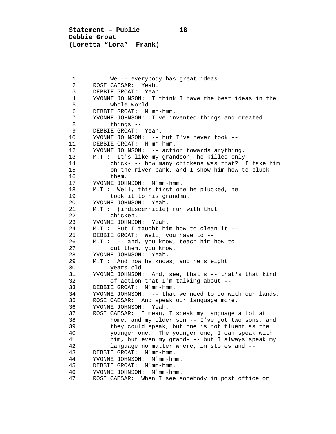**Statement – Public 18 Debbie Groat (Loretta "Lora" Frank)**

1 We -- everybody has great ideas.<br>2 ROSE CAESAR: Yeah. 2 ROSE CAESAR: Yeah.<br>3 DEBBIE GROAT: Yeah 3 DEBBIE GROAT: Yeah.<br>4 YVONNE JOHNSON: I t 4 YVONNE JOHNSON: I think I have the best ideas in the 5 whole world.<br>6 DEBBIE GROAT: M' 6 DEBBIE GROAT: M'mm-hmm.<br>7 YVONNE JOHNSON: T've in 7 YVONNE JOHNSON: I've invented things and created 8 things --<br>9 DEBBIE GROAT: 9 DEBBIE GROAT: Yeah.<br>10 YVONNE JOHNSON: --10 YVONNE JOHNSON: -- but I've never took --<br>11 DEBBIE GROAT: M'mm-hmm. 11 DEBBIE GROAT: M'mm-hmm.<br>12 YVONNE JOHNSON: -- acti 12 YVONNE JOHNSON: -- action towards anything.<br>13 M.T.: It's like my grandson, he killed only 13 M.T.: It's like my grandson, he killed only<br>14 chick- -- how many chickens was that? 14 chick- -- how many chickens was that? I take him<br>15 on the river bank, and I show him how to pluck 15 on the river bank, and I show him how to pluck<br>16 them. 16 them.<br>17 YVONNE JOH 17 YVONNE JOHNSON: M'mm-hmm.<br>18 M.T.: Well, this first on 18 M.T.: Well, this first one he plucked, he<br>19 took it to his grandma. 19 took it to his grandma.<br>20 YVONNE JOHNSON: Yeah. 20 YVONNE JOHNSON: Yeah.<br>21 M.T.: (indiscernible) 21 M.T.: (indiscernible) run with that<br>22 chicken. 22 chicken.<br>23 YVONNE JOHNSOI 23 YVONNE JOHNSON: Yeah.<br>24 M.T.: But I taught hi 24 M.T.: But I taught him how to clean it --<br>25 DEBBIE GROAT: Well, you have to --25 DEBBIE GROAT: Well, you have to --<br>26 M.T.: -- and, you know, teach him 26 M.T.: -- and, you know, teach him how to<br>27 cut them, you know. 27 cut them, you know.<br>28 YVONNE JOHNSON: Yeah 28 YVONNE JOHNSON: Yeah.<br>29 M.T.: And now he know 29 M.T.: And now he knows, and he's eight<br>30 vears old. 30 years old.<br>31 YVONNE JOHNSON: 31 YVONNE JOHNSON: And, see, that's -- that's that kind<br>32 of action that I'm talking about --32 of action that I'm talking about --<br>33 DEBBIE GROAT: M'mm-hmm. 33 DEBBIE GROAT: M'mm-hmm. 34 YVONNE JOHNSON: -- that we need to do with our lands. 35 ROSE CAESAR: And speak our language more.<br>36 YVONNE JOHNSON: Yeah. 36 YVONNE JOHNSON:<br>37 ROSE CAESAR: I 37 ROSE CAESAR: I mean, I speak my language a lot at 38 home, and my older son -- I've got two sons, and<br>39 they could speak, but one is not fluent as the 39 they could speak, but one is not fluent as the<br>40 younger one. The younger one, I can speak with 40 younger one. The younger one, I can speak with<br>41 him, but even my grand- -- but I always speak m 41 him, but even my grand- -- but I always speak my<br>42 language no matter where, in stores and --42 language no matter where, in stores and --<br>43 DEBBIE GROAT: M'mm-hmm. 43 DEBBIE GROAT: M'mm-hmm.<br>44 YVONNE JOHNSON: M'mm-hm 44 YVONNE JOHNSON: M'mm-hmm.<br>45 DEBBIE GROAT: M'mm-hmm. 45 DEBBIE GROAT: M'mm-hmm. 46 YVONNE JOHNSON: M'mm-hmm. ROSE CAESAR: When I see somebody in post office or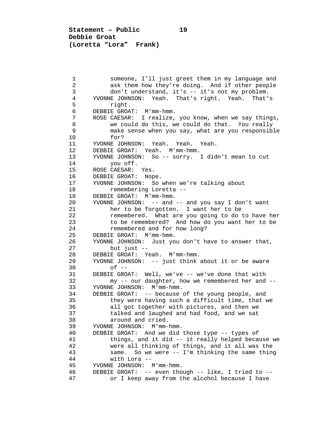1 someone, I'll just greet them in my language and<br>2 ask them how they're doing. And if other people 2 ask them how they're doing. And if other people<br>3 don't understand, it's -- it's not my problem. 3 don't understand, it's -- it's not my problem.<br>4 YVONNE JOHNSON: Yeah. That's right. Yeah. That' 4 YVONNE JOHNSON: Yeah. That's right. Yeah. That's 5 right.<br>6 DEBBIE GROA 6 DEBBIE GROAT: M'mm-hmm.<br>7 ROSE CAESAR: I realize. 7 ROSE CAESAR: I realize, you know, when we say things,<br>8 we could do this, we could do that. You really 8 we could do this, we could do that. You really<br>9 make sense when you say, what are you responsib 9 make sense when you say, what are you responsible 10 for?<br>11 YVONNE JO 11 YVONNE JOHNSON: Yeah. Yeah. Yeah.<br>12 DEBBIE GROAT: Yeah. M'mm-hmm. 12 DEBBIE GROAT: Yeah. M'mm-hmm.<br>13 YVONNE JOHNSON: So -- sorry. 13 YVONNE JOHNSON: So -- sorry. I didn't mean to cut 14 you off.<br>15 ROSE CAESAR: 15 ROSE CAESAR: Yes.<br>16 DEBBIE GROAT: Nop 16 DEBBIE GROAT: Nope.<br>17 YVONNE JOHNSON: So 17 YVONNE JOHNSON: So when we're talking about<br>18 Temembering Loretta --18 remembering Loretta --<br>19 DEBBIE GROAT: M'mm-hmm. 19 DEBBIE GROAT: M'mm-hmm.<br>20 YVONNE JOHNSON: -- and 20 YVONNE JOHNSON: -- and -- and you say I don't want 21 her to be forgotten. I want her to be<br>22 memembered. What are you going to do 22 remembered. What are you going to do to have her<br>23 to be remembered? And how do you want her to be 23 to be remembered? And how do you want her to be 24 to be remembered and for how long? 24 remembered and for how long?<br>25 DEBBIE GROAT: M'mm-hmm. 25 DEBBIE GROAT: M'mm-hmm.<br>26 YVONNE JOHNSON: Just yo 26 YVONNE JOHNSON: Just you don't have to answer that,<br>27 but just --27 but just --<br>28 DEBBIE GROAT: Y 28 DEBBIE GROAT: Yeah. M'mm-hmm.<br>29 YVONNE JOHNSON: -- just think 29 YVONNE JOHNSON: -- just think about it or be aware<br>30 of --30 of --<br>31 DEBBIE GRO 31 DEBBIE GROAT: Well, we've -- we've done that with<br>32 my -- our daughter, how we remembered her and 32 my -- our daughter, how we remembered her and --<br>33 YVONNE JOHNSON: M'mm-hmm. 33 YVONNE JOHNSON: M'mm-hmm. 34 DEBBIE GROAT: -- because of the young people, and 35 they were having such a difficult time, that we<br>36 all got together with pictures, and then we 36 all got together with pictures, and then we<br>37 talked and laughed and had food, and we sat 37 talked and laughed and had food, and we sat 38 around and cried.<br>39 YVONNE JOHNSON: M'mm-39 YVONNE JOHNSON: M'mm-hmm.<br>40 DEBBIE GROAT: And we did 40 DEBBIE GROAT: And we did those type -- types of 41 things, and it did -- it really helped because we<br>42 were all thinking of things, and it all was the 42 were all thinking of things, and it all was the<br>43 same. So we were -- I'm thinking the same thing 43 same. So we were -- I'm thinking the same thing 44 with Lora --<br>45 YVONNE JOHNSON: 45 YVONNE JOHNSON: M'mm-hmm. 46 DEBBIE GROAT: -- even though -- like, I tried to - or I keep away from the alcohol because I have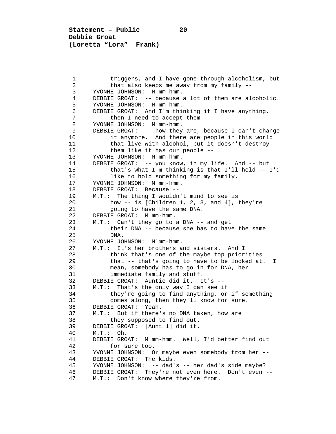**Statement – Public 20 Debbie Groat (Loretta "Lora" Frank)**

1 triggers, and I have gone through alcoholism, but<br>2 that also keeps me away from my family --2 that also keeps me away from my family --<br>3 YVONNE JOHNSON: M'mm-hmm. 3 YVONNE JOHNSON: M'mm-hmm. 4 DEBBIE GROAT: -- because a lot of them are alcoholic.<br>5 YVONNE JOHNSON: M'mm-hmm. 5 YVONNE JOHNSON: M'mm-hmm.<br>6 DEBBIE GROAT: And I'm thi 6 DEBBIE GROAT: And I'm thinking if I have anything,<br>7 then I need to accept them  $-$ 7 then I need to accept them --<br>8 YVONNE JOHNSON: M'mm-hmm. 8 YVONNE JOHNSON: M'mm-hmm.<br>9 DEBBIE GROAT: -- how they 9 DEBBIE GROAT: -- how they are, because I can't change<br>10 it anymore. And there are people in this world 10 it anymore. And there are people in this world<br>11 that live with alcohol, but it doesn't destroy 11 that live with alcohol, but it doesn't destroy<br>12 them like it has our people --12 them like it has our people --<br>13 YVONNE JOHNSON: M'mm-hmm. 13 YVONNE JOHNSON: M'mm-hmm.<br>14 DEBBIE GROAT: -- you know 14 DEBBIE GROAT: -- you know, in my life. And -- but<br>15 that's what I'm thinking is that I'll hold --15 that's what I'm thinking is that I'll hold -- I'd<br>16 1ike to hold something for my family. 16 like to hold something for my family.<br>17 YVONNE JOHNSON: M'mm-hmm. 17 YVONNE JOHNSON: M'mm-hmm.<br>18 DEBBIE GROAT: Because --18 DEBBIE GROAT: Because --<br>19 M.T.: The thing I wouldn 19 M.T.: The thing I wouldn't mind to see is<br>20 how -- is [Children 1, 2, 3, and 4], 20 how -- is [Children 1, 2, 3, and 4], they're<br>21 aoing to have the same DNA. 21 going to have the same DNA.<br>22 DEBBIE GROAT: M'mm-hmm. 22 DEBBIE GROAT: M'mm-hmm.<br>23 M.T.: Can't they go to 23 M.T.: Can't they go to a DNA -- and get<br>24 their DNA -- because she has to have 24 their DNA -- because she has to have the same 25 25 DNA.<br>26 YVONNE JO 26 YVONNE JOHNSON: M'mm-hmm.<br>27 M.T.: It's her brothers a 27 M.T.: It's her brothers and sisters. And I<br>28 think that's one of the maybe top prior 28 think that's one of the maybe top priorities<br>29 that -- that's going to have to be looked at 29 that -- that's going to have to be looked at. I<br>30 mean, somebody has to go in for DNA, her 30 mean, somebody has to go in for DNA, her<br>31 immediate family and stuff. 31 immediate family and stuff.<br>32 DEBBIE GROAT: Auntie did it. I 32 DEBBIE GROAT: Auntie did it. It's --<br>33 M.T.: That's the only way I can see i 33 M.T.: That's the only way I can see if<br>34 they're going to find anything, or 34 they're going to find anything, or if something<br>35 comes along, then they'll know for sure. 35 comes along, then they'll know for sure.<br>36 DEBBIE GROAT: Yeah. 36 DEBBIE GROAT: Yeah.<br>37 M.T.: But if there' 37 M.T.: But if there's no DNA taken, how are 38 they supposed to find out.<br>39 DEBBIE GROAT: [Aunt 1] did it. 39 DEBBIE GROAT: [Aunt 1] did it.<br>40 M.T.: Oh. 40 M.T.: Oh.<br>41 DEBBIE GRO 41 DEBBIE GROAT: M'mm-hmm. Well, I'd better find out 42 for sure too.<br>43 YVONNE JOHNSON: 0 43 YVONNE JOHNSON: Or maybe even somebody from her -- 44 DEBBIE GROAT: The kids.<br>45 YVONNE JOHNSON: -- dad' 45 YVONNE JOHNSON: -- dad's -- her dad's side maybe? 46 DEBBIE GROAT: They're not even here. Don't even -- M.T.: Don't know where they're from.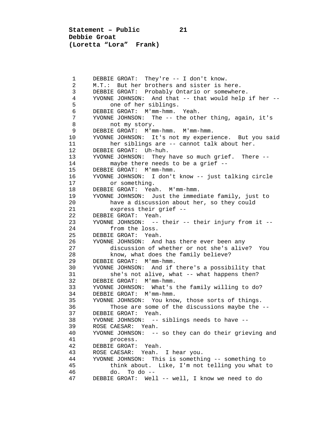**Statement – Public 21 Debbie Groat (Loretta "Lora" Frank)**

1 DEBBIE GROAT: They're -- I don't know.<br>2 M.T.: But her brothers and sister is h 2 M.T.: But her brothers and sister is here.<br>3 DEBBIE GROAT: Probably Ontario or somewher 3 DEBBIE GROAT: Probably Ontario or somewhere.<br>4 YVONNE JOHNSON: And that -- that would help 4 YVONNE JOHNSON: And that -- that would help if her --<br>5 one of her siblings. 5 one of her siblings.<br>6 DEBBIE GROAT: M'mm-hmm. 6 DEBBIE GROAT: M'mm-hmm. Yeah. 7 YVONNE JOHNSON: The -- the other thing, again, it's 8 not my story.<br>9 DEBBIE GROAT: M'mu 9 DEBBIE GROAT: M'mm-hmm. M'mm-hmm.<br>10 YVONNE JOHNSON: It's not my experi 10 YVONNE JOHNSON: It's not my experience. But you said<br>11 her siblings are -- cannot talk about her. 11 her siblings are -- cannot talk about her.<br>12 DEBBIE GROAT: Uh-huh. 12 DEBBIE GROAT: Uh-huh.<br>13 YVONNE JOHNSON: They 13 YVONNE JOHNSON: They have so much grief. There --<br>14 maybe there needs to be a grief --14 maybe there needs to be a grief --<br>15 DEBBIE GROAT: M'mm-hmm. 15 DEBBIE GROAT: M'mm-hmm.<br>16 YVONNE JOHNSON: I don't 16 YVONNE JOHNSON: I don't know -- just talking circle 17 or something.<br>18 DEBBIE GROAT: Yea 18 DEBBIE GROAT: Yeah. M'mm-hmm.<br>19 YVONNE JOHNSON: Just the immed 19 YVONNE JOHNSON: Just the immediate family, just to<br>20 have a discussion about her, so they could 20 have a discussion about her, so they could<br>21 express their grief --21 express their grief --<br>22 DEBBIE GROAT: Yeah. 22 DEBBIE GROAT: Yeah.<br>23 YVONNE JOHNSON: --23 YVONNE JOHNSON: -- their -- their injury from it --<br>24 from the loss. 24 from the loss.<br>25 DEBBIE GROAT: Yeah 25 DEBBIE GROAT: Yeah.<br>26 YVONNE JOHNSON: And 26 YVONNE JOHNSON: And has there ever been any<br>27 discussion of whether or not she's alive 27 discussion of whether or not she's alive? You<br>28 how, what does the family believe? 28 know, what does the family believe?<br>29 DEBBIE GROAT: M'mm-hmm. 29 DEBBIE GROAT: M'mm-hmm.<br>30 YVONNE JOHNSON: And if 30 YVONNE JOHNSON: And if there's a possibility that<br>31 she's not alive, what -- what happens then? 31 she's not alive, what -- what happens then?<br>32 DEBBIE GROAT: M'mm-hmm. 32 DEBBIE GROAT: M'mm-hmm.<br>33 YVONNE JOHNSON: What's 33 YVONNE JOHNSON: What's the family willing to do? 34 DEBBIE GROAT: M'mm-hmm.<br>35 YVONNE JOHNSON: You kno 35 YVONNE JOHNSON: You know, those sorts of things. 36 Those are some of the discussions maybe the --<br>37 DEBBIE GROAT: Yeah. 37 DEBBIE GROAT: Yeah.<br>38 YVONNE JOHNSON: --38 YVONNE JOHNSON: -- siblings needs to have --<br>39 ROSE CAESAR: Yeah. 39 ROSE CAESAR: Yeah. 40 YVONNE JOHNSON: -- so they can do their grieving and 41 process.<br>42 DEBBIE GROAT: 42 DEBBIE GROAT: Yeah.<br>43 ROSE CAESAR: Yeah. 43 ROSE CAESAR: Yeah. I hear you.<br>44 YVONNE JOHNSON: This is somethi 44 YVONNE JOHNSON: This is something -- something to 45 think about. Like, I'm not telling you what to  $d_0$ . To  $d_0$  --47 DEBBIE GROAT: Well -- well, I know we need to do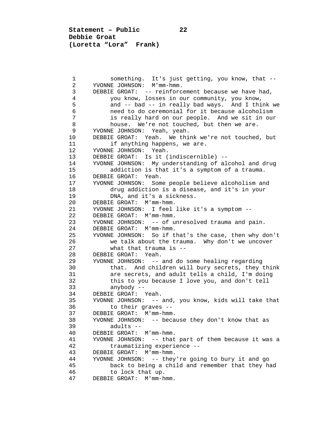**Statement – Public 22 Debbie Groat (Loretta "Lora" Frank)**

1 something. It's just getting, you know, that --<br>2 YVONNE JOHNSON: M'mm-hmm. 2 YVONNE JOHNSON: M'mm-hmm. 3 DEBBIE GROAT: -- reinforcement because we have had,<br>4 you know, losses in our community, you know, 4 you know, losses in our community, you know,<br>5 and -- bad -- in really bad ways. And I thi 5 and -- bad -- in really bad ways. And I think we<br>6 and to do ceremonial for it because alcoholism 6 need to do ceremonial for it because alcoholism 7 is really hard on our people. And we sit in our 7<br>8 house. We're not touched, but then we are. 8 house. We're not touched, but then we are.<br>9 YVONNE JOHNSON: Yeah, yeah. 9 YVONNE JOHNSON: Yeah, yeah.<br>10 DEBBIE GROAT: Yeah. We thi 10 DEBBIE GROAT: Yeah. We think we're not touched, but<br>11 if anything happens, we are. 11 if anything happens, we are.<br>12 YVONNE JOHNSON: Yeah. 12 YVONNE JOHNSON: Yeah.<br>13 DEBBIE GROAT: Is it ( 13 DEBBIE GROAT: Is it (indiscernible) --<br>14 YVONNE JOHNSON: My understanding of al 14 YVONNE JOHNSON: My understanding of alcohol and drug<br>15 addiction is that it's a symptom of a trauma. 15 addiction is that it's a symptom of a trauma.<br>16 DEBBIE GROAT: Yeah. 16 DEBBIE GROAT: Yeah.<br>17 YVONNE JOHNSON: Som 17 YVONNE JOHNSON: Some people believe alcoholism and<br>18 drug addiction is a disease, and it's in your 18 drug addiction is a disease, and it's in your<br>19 DNA, and it's a sickness. 19 DNA, and it's a sickness.<br>20 DEBBIE GROAT: M'mm-hmm. 20 DEBBIE GROAT: M'mm-hmm.<br>21 YVONNE JOHNSON: I feel 21 YVONNE JOHNSON: I feel like it's a symptom -- 22 DEBBIE GROAT: M'mm-hmm.<br>23 YVONNE JOHNSON: -- of u 23 YVONNE JOHNSON: -- of unresolved trauma and pain.<br>24 DEBBIE GROAT: M'mm-hmm. 24 DEBBIE GROAT: M'mm-hmm.<br>25 YVONNE JOHNSON: So if t 25 YVONNE JOHNSON: So if that's the case, then why don't 26 we talk about the trauma. Why don't we uncover<br>27 what that trauma is --27 what that trauma is --<br>28 DEBBIE GROAT: Yeah 28 DEBBIE GROAT: Yeah.<br>29 YVONNE JOHNSON: -- 29 YVONNE JOHNSON: -- and do some healing regarding 30 that. And children will bury secrets, they think<br>31 are secrets, and adult tells a child, I'm doing 31 are secrets, and adult tells a child, I'm doing<br>32 this to you because I love you, and don't tell 32 this to you because I love you, and don't tell<br>33 anybody -- 33 anybody -- 34 DEBBIE GROAT: Yeah.<br>35 YVONNE JOHNSON: -- 35 YVONNE JOHNSON: -- and, you know, kids will take that 36 to their graves --<br>37 DEBBIE GROAT: M'mm-hmm 37 DEBBIE GROAT: M'mm-hmm.<br>38 YVONNE JOHNSON: -- beca 38 YVONNE JOHNSON: -- because they don't know that as 39 adults -- 40 DEBBIE GROAT: M'mm-hmm.<br>41 YVONNE JOHNSON: -- that 41 YVONNE JOHNSON: -- that part of them because it was a 42 traumatizing experience --<br>43 DEBBIE GROAT: M'mm-hmm. 43 DEBBIE GROAT: M'mm-hmm.<br>44 YVONNE JOHNSON: -- they 44 YVONNE JOHNSON: -- they're going to bury it and go 45 back to being a child and remember that they had<br>46 to lock that up. to lock that up. 47 DEBBIE GROAT: M'mm-hmm.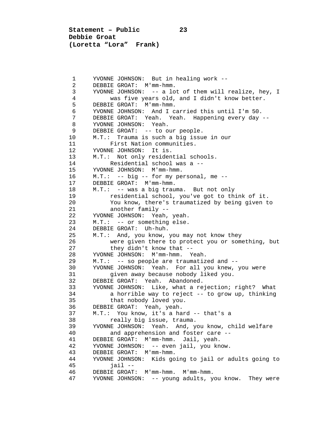**Statement – Public 23 Debbie Groat (Loretta "Lora" Frank)**

1 YVONNE JOHNSON: But in healing work --<br>2 DEBBIE GROAT: M'mm-hmm. 2 DEBBIE GROAT: M'mm-hmm.<br>3 YVONNE JOHNSON: -- a lo 3 YVONNE JOHNSON: -- a lot of them will realize, hey, I 4 was five years old, and I didn't know better. 5 DEBBIE GROAT: M'mm-hmm.<br>6 YVONNE JOHNSON: And I c 6 YVONNE JOHNSON: And I carried this until I'm 50. 7 DEBBIE GROAT: Yeah. Yeah. Happening every day -- 8 YVONNE JOHNSON: Yeah.<br>9 DEBBIE GROAT: -- to o 9 DEBBIE GROAT: -- to our people.<br>10 M.T.: Trauma is such a big issu 10 M.T.: Trauma is such a big issue in our<br>11 First Nation communities. 11 First Nation communities.<br>12 YVONNE JOHNSON: It is. 12 YVONNE JOHNSON: It is.<br>13 M.T.: Not only residen 13 M.T.: Not only residential schools.<br>14 Residential school was a --14 Residential school was a --<br>15 YVONNE JOHNSON: M'mm-hmm. 15 YVONNE JOHNSON: M'mm-hmm.<br>16 M.T.: -- big -- for my pe 16 M.T.: -- big -- for my personal, me --<br>17 DEBBIE GROAT: M'mm-hmm. 17 DEBBIE GROAT: M'mm-hmm.<br>18 M.T.: -- was a big trau 18 M.T.: -- was a big trauma. But not only<br>19 mesidential school, you've got to the 19 19 residential school, you've got to think of it.<br>20 10 You know, there's traumatized by being given t 20 You know, there's traumatized by being given to<br>21 another family --21 another family --<br>22 YVONNE JOHNSON: Yeah. 22 YVONNE JOHNSON: Yeah, yeah.<br>23 M.T.: -- or something else. 23 M.T.: -- or something else.<br>24 DEBBIE GROAT: Uh-huh. 24 DEBBIE GROAT: Uh-huh.<br>25 M.T.: And, you know, 25 M.T.: And, you know, you may not know they<br>26 were given there to protect you or some 26 were given there to protect you or something, but<br>27 they didn't know that --27 they didn't know that --<br>28 YVONNE JOHNSON: M'mm-hmm Y 28 YVONNE JOHNSON: M'mm-hmm. Yeah.<br>29 M.T.: -- so people are traumatiz 29 M.T.: -- so people are traumatized and --<br>30 YVONNE JOHNSON: Yeah. For all you knew. 30 YVONNE JOHNSON: Yeah. For all you knew, you were 31 given away because nobody liked you.<br>32 DEBBIE GROAT: Yeah. Abandoned. 32 DEBBIE GROAT: Yeah. Abandoned.<br>33 YVONNE JOHNSON: Like, what a re 33 YVONNE JOHNSON: Like, what a rejection; right? What 34 a horrible way to reject -- to grow up, thinking<br>35 that nobody loved you. 35 that nobody loved you.<br>36 DEBBIE GROAT: Yeah, yeah. 36 DEBBIE GROAT: Yeah, yeah.<br>37 M.T.: You know, it's a ha 37 M.T.: You know, it's a hard -- that's a 38 really big issue, trauma.<br>39 YVONNE JOHNSON: Yeah. And, y 39 YVONNE JOHNSON: Yeah. And, you know, child welfare<br>40 and apprehension and foster care --40 and apprehension and foster care --<br>41 DEBBIE GROAT: M'mm-hmm. Jail, yeah. 41 DEBBIE GROAT: M'mm-hmm. Jail, yeah. 42 YVONNE JOHNSON: -- even jail, you know.<br>43 DEBBIE GROAT: M'mm-hmm. 43 DEBBIE GROAT: M'mm-hmm.<br>44 YVONNE JOHNSON: Kids go 44 YVONNE JOHNSON: Kids going to jail or adults going to 45 jail -- 46 DEBBIE GROAT: M'mm-hmm. M'mm-hmm. YVONNE JOHNSON: -- young adults, you know. They were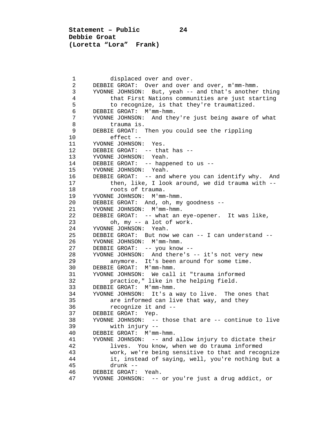**Statement – Public 24 Debbie Groat (Loretta "Lora" Frank)**

1 displaced over and over.<br>2 DEBBIE GROAT: Over and over 2 DEBBIE GROAT: Over and over and over, m'mm-hmm.<br>3 YVONNE JOHNSON: But, yeah -- and that's another 3 YVONNE JOHNSON: But, yeah -- and that's another thing<br>4 that First Nations communities are just starting 4 that First Nations communities are just starting<br>5 to recognize, is that they're traumatized. 5 to recognize, is that they're traumatized.<br>6 DEBBIE GROAT: M'mm-hmm. 6 DEBBIE GROAT: M'mm-hmm.<br>7 YVONNE JOHNSON: And the 7 YVONNE JOHNSON: And they're just being aware of what 8 trauma is.<br>9 DEBBIE GROAT: 9 DEBBIE GROAT: Then you could see the rippling 10 effect --<br>11 YVONNE JOHNSON: 11 YVONNE JOHNSON: Yes.<br>12 DEBBIE GROAT: -- tha 12 DEBBIE GROAT: -- that has --<br>13 YVONNE JOHNSON: Yeah. 13 YVONNE JOHNSON: Yeah.<br>14 DEBBIE GROAT: -- happ 14 DEBBIE GROAT: -- happened to us --<br>15 YVONNE JOHNSON: Yeah. 15 YVONNE JOHNSON: Yeah.<br>16 DEBBIE GROAT: -- and 16 DEBBIE GROAT: -- and where you can identify why. And<br>17 then, like, I look around, we did trauma with --17 then, like, I look around, we did trauma with --<br>18 foots of trauma. 18 roots of trauma.<br>19 YVONNE JOHNSON: M'mm 19 YVONNE JOHNSON: M'mm-hmm.<br>20 DEBBIE GROAT: And. oh. mv 20 DEBBIE GROAT: And, oh, my goodness --<br>21 YVONNE JOHNSON: M'mm-hmm. 21 YVONNE JOHNSON: M'mm-hmm.<br>22 DEBBIE GROAT: -- what an 22 DEBBIE GROAT: -- what an eye-opener. It was like,<br>23 oh. my -- a lot of work. 23 oh, my -- a lot of work.<br>24 YVONNE JOHNSON: Yeah. 24 YVONNE JOHNSON: Yeah.<br>25 DEBBIE GROAT: But now 25 DEBBIE GROAT: But now we can -- I can understand --<br>26 YVONNE JOHNSON: M'mm-hmm. 26 YVONNE JOHNSON: M'mm-hmm.<br>27 DEBBIE GROAT: -- vou know 27 DEBBIE GROAT: -- you know --<br>28 YVONNE JOHNSON: And there's 28 YVONNE JOHNSON: And there's -- it's not very new<br>29 anymore. It's been around for some time. 29 anymore. It's been around for some time.<br>30 DEBBIE GROAT: M'mm-hmm. 30 DEBBIE GROAT: M'mm-hmm.<br>31 YVONNE JOHNSON: We call 31 YVONNE JOHNSON: We call it "trauma informed<br>32 **bractice.**" like in the helping field. 32 practice," like in the helping field.<br>33 DEBBIE GROAT: M'mm-hmm. 33 DEBBIE GROAT: M'mm-hmm.<br>34 YVONNE JOHNSON: It's a 34 YVONNE JOHNSON: It's a way to live. The ones that 35 are informed can live that way, and they<br> $36$  recognize it and  $-$  36 recognize it and -- 37 DEBBIE GROAT: Yep.<br>38 YVONNE JOHNSON: -- 38 YVONNE JOHNSON: -- those that are -- continue to live 39 with injury --<br>40 DEBBIE GROAT: M'mm 40 DEBBIE GROAT: M'mm-hmm.<br>41 YVONNE JOHNSON: -- and 41 YVONNE JOHNSON: -- and allow injury to dictate their<br>42 1ives. You know, when we do trauma informed 42 lives. You know, when we do trauma informed<br>43 work, we're being sensitive to that and recod 43 work, we're being sensitive to that and recognize<br>44 it, instead of saving, well, you're nothing but a 44 it, instead of saying, well, you're nothing but a 45 drunk -- 46 DEBBIE GROAT: Yeah.<br>47 YVONNE JOHNSON: --47 YVONNE JOHNSON: -- or you're just a drug addict, or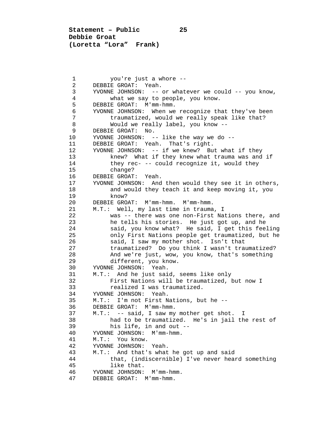**Statement – Public 25 Debbie Groat (Loretta "Lora" Frank)**

1 you're just a whore --<br>2 DEBBIE GROAT: Yeah. 2 DEBBIE GROAT: Yeah.<br>3 YVONNE JOHNSON: -- 3 YVONNE JOHNSON: -- or whatever we could -- you know, 4 what we say to people, you know.<br>5 DEBBIE GROAT: M'mm-hmm. 5 DEBBIE GROAT: M'mm-hmm.<br>6 YVONNE JOHNSON: When we 6 YVONNE JOHNSON: When we recognize that they've been<br>7 traumatized, would we really speak like that? 7 traumatized, would we really speak like that?<br>8 Would we really label, you know --8 Would we really label, you know --<br>9 DEBBIE GROAT: No. 9 DEBBIE GROAT: No.<br>10 YVONNE JOHNSON: -10 YVONNE JOHNSON: -- like the way we do --<br>11 DEBBIE GROAT: Yeah. That's right. 11 DEBBIE GROAT: Yeah. That's right.<br>12 YVONNE JOHNSON: -- if we knew? Bu 12 YVONNE JOHNSON: -- if we knew? But what if they 13 knew? What if they knew what trauma was and if<br>14 they rec- -- could recognize it, would they 14 they rec- -- could recognize it, would they<br>15 change? 15 change?<br>16 DEBBIE GROAT 16 DEBBIE GROAT: Yeah.<br>17 YVONNE JOHNSON: And 17 YVONNE JOHNSON: And then would they see it in others,<br>18 and would they teach it and keep moving it, you 18 and would they teach it and keep moving it, you<br>19 know? 19 know?<br>20 DEBBIE GRO 20 DEBBIE GROAT: M'mm-hmm. M'mm-hmm.<br>21 M.T.: Well. my last time in trauma 21 M.T.: Well, my last time in trauma, I<br>22 was -- there was one non-First Na 22 was -- there was one non-First Nations there, and<br>23 he tells his stories. He just got up, and he 23 he tells his stories. He just got up, and he<br>24 said, you know what? He said, I get this fee 24 said, you know what? He said, I get this feeling<br>25 only First Nations people get traumatized, but he 25 only First Nations people get traumatized, but he<br>26 said, I saw my mother shot. Isn't that 26 said, I saw my mother shot. Isn't that<br>27 traumatized? Do you think I wasn't trau 27 traumatized? Do you think I wasn't traumatized?<br>28 And we're just, wow, you know, that's something 28 And we're just, wow, you know, that's something<br>29 different, you know. 29 different, you know.<br>30 YVONNE JOHNSON: Yeah. 30 YVONNE JOHNSON: Yeah.<br>31 M.T.: And he just sai 31 M.T.: And he just said, seems like only<br>32 First Nations will be traumatized, 32 First Nations will be traumatized, but now I<br>33 Fealized I was traumatized. 33 realized I was traumatized.<br>34 YVONNE JOHNSON: Yeah 34 YVONNE JOHNSON: Yeah.<br>35 M.T.: I'm not First N 35 M.T.: I'm not First Nations, but he --<br>36 DEBBIE GROAT: M'mm-hmm. 36 DEBBIE GROAT: M'mm-hmm.<br>37 M.T.: -- said, I saw mv 37 M.T.: -- said, I saw my mother get shot. I 38 had to be traumatized. He's in jail the rest of 39 his life, in and out --39 his life, in and out --<br>40 YVONNE JOHNSON: M'mm-hmm. 40 YVONNE JOHNSON: M'mm-hmm.<br>41 M.T.: You know. 41 M.T.: You know.<br>42 YVONNE JOHNSON: 42 YVONNE JOHNSON: Yeah.<br>43 M.T.: And that's what 43 M.T.: And that's what he got up and said<br>44 that. (indiscernible) I've never hear 44 that, (indiscernible) I've never heard something 45 like that.<br>46 YVONNE JOHNSON: 46 YVONNE JOHNSON: M'mm-hmm.<br>47 DEBBIE GROAT: M'mm-hmm. DEBBIE GROAT: M'mm-hmm.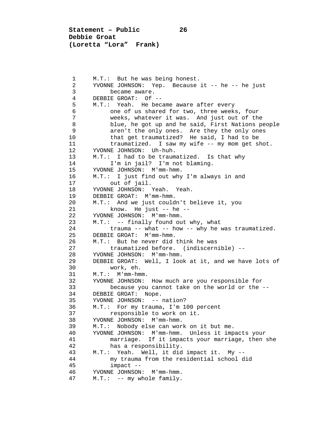**Statement – Public 26 Debbie Groat (Loretta "Lora" Frank)**

1 M.T.: But he was being honest.<br>2 YVONNE JOHNSON: Yep. Because 2 YVONNE JOHNSON: Yep. Because it -- he -- he just<br>3 became aware. 3 became aware.<br>4 DEBBIE GROAT: Of 4 DEBBIE GROAT: Of --<br>5 M.T.: Yeah. He bec 5 M.T.: Yeah. He became aware after every<br>6 one of us shared for two, three week: 6 one of us shared for two, three weeks, four 7 weeks, whatever it was. And just out of the 8 blue, he got up and he said, First Nations people<br>9 aren't the only ones. Are they the only ones 9 extemant only ones. Are they the only ones<br>10 that get traumatized? He said, I had to be 10 that get traumatized? He said, I had to be<br>11 traumatized. I saw my wife -- my mom get s 11 traumatized. I saw my wife -- my mom get shot.<br>12 YVONNE JOHNSON: Uh-huh. 12 YVONNE JOHNSON: Uh-huh.<br>13 M.T.: I had to be traum 13 M.T.: I had to be traumatized. Is that why<br>14 I'm in jail? I'm not blaming. 14 I'm in jail? I'm not blaming.<br>15 YVONNE JOHNSON: M'mm-hmm. 15 YVONNE JOHNSON: M'mm-hmm.<br>16 M.T.: I just find out why 16 M.T.: I just find out why I'm always in and 17 out of jail.<br>18 YVONNE JOHNSON: 18 YVONNE JOHNSON: Yeah. Yeah.<br>19 DEBBIE GROAT: M'mm-hmm. 19 DEBBIE GROAT: M'mm-hmm.<br>20 M.T.: And we just could 20 M.T.: And we just couldn't believe it, you<br>21 know. He just -- he --21 know. He just -- he --<br>22 YVONNE JOHNSON: M'mm-hmm. 22 YVONNE JOHNSON: M'mm-hmm.<br>23 M.T.: -- finally found ou 23 M.T.: -- finally found out why, what<br>24 trauma -- what -- how -- why he 24 trauma -- what -- how -- why he was traumatized.<br>25 DEBBIE GROAT: M'mm-hmm. 25 DEBBIE GROAT: M'mm-hmm.<br>26 M.T.: But he never did 26 M.T.: But he never did think he was<br>27 traumatized before. (indiscern: 27 traumatized before. (indiscernible) --<br>28 YVONNE JOHNSON: M'mm-hmm 28 YVONNE JOHNSON: M'mm-hmm.<br>29 DEBBIE GROAT: Well. I loo 29 DEBBIE GROAT: Well, I look at it, and we have lots of 30 30 work, eh.<br>31 M.T.: M'mm-hmm 31 M.T.: M'mm-hmm.<br>32 YVONNE JOHNSON: 32 YVONNE JOHNSON: How much are you responsible for 33 because you cannot take on the world or the -- 34 DEBBIE GROAT: Nope.<br>35 YVONNE JOHNSON: --35 YVONNE JOHNSON: -- nation?<br>36 M.T.: For my trauma, I'm 1 36 M.T.: For my trauma, I'm 100 percent 37 responsible to work on it.<br>38 YVONNE JOHNSON: M'mm-hmm. 38 YVONNE JOHNSON: M'mm-hmm.<br>39 M.T.: Nobody else can wor 39 M.T.: Nobody else can work on it but me. 40 YVONNE JOHNSON: M'mm-hmm. Unless it impacts your 41 marriage. If it impacts your marriage, then she<br>42 has a responsibility. 42 has a responsibility.<br>43 M.T.: Yeah. Well, it did 43 M.T.: Yeah. Well, it did impact it. My -- 44 my trauma from the residential school did<br>45 impact -- 45 impact -- 46 YVONNE JOHNSON: M'mm-hmm.<br>47 M.T.: -- my whole family.  $M.T.: -$  my whole family.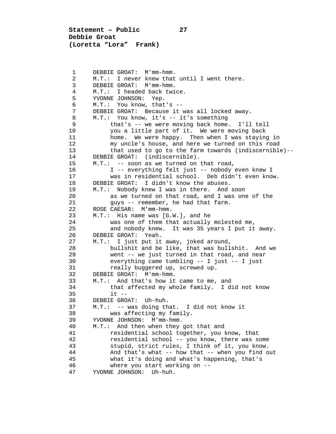**Statement – Public 27 Debbie Groat (Loretta "Lora" Frank)**

1 DEBBIE GROAT: M'mm-hmm.<br>2 M.T.: I never knew that 2 M.T.: I never knew that until I went there.<br>3 DEBBIE GROAT: M'mm-hmm. 3 DEBBIE GROAT: M'mm-hmm. 4 M.T.: I headed back twice.<br>5 YVONNE JOHNSON: Yep. 5 YVONNE JOHNSON: Yep.<br>6 M.T.: You know, that 6 M.T.: You know, that's -- 7 DEBBIE GROAT: Because it was all locked away.<br>8 M.T.: You know, it's -- it's something 8 M.T.: You know, it's -- it's something<br>9 that's -- we were moving back home 9 that's -- we were moving back home. I'll tell 10 you a little part of it. We were moving back<br>11 home. We were happy. Then when I was staving 11 home. We were happy. Then when I was staying in<br>12 my uncle's house, and here we turned on this road 12 my uncle's house, and here we turned on this road<br>13 that used to go to the farm towards (indiscernible 13 that used to go to the farm towards (indiscernible)--<br>14 DEBBIE GROAT: (indiscernible). 14 DEBBIE GROAT: (indiscernible).<br>15 M.T.: -- soon as we turned on 15 M.T.: -- soon as we turned on that road,<br>16 1 -- everything felt just -- nobody 16 I -- everything felt just -- nobody even knew I<br>17 Was in residential school. Deb didn't even kno 17 was in residential school. Deb didn't even know.<br>18 DEBBIE GROAT: I didn't know the abuses. 18 DEBBIE GROAT: I didn't know the abuses.<br>19 M.T.: Nobody knew I was in there. And 19 M.T.: Nobody knew I was in there. And soon<br>20 as we turned on that road, and I was one 20 as we turned on that road, and I was one of the 21 causes -- remember, he had that farm. 21 guys -- remember, he had that farm.<br>22 ROSE CAESAR: M'mm-hmm. 22 ROSE CAESAR: M'mm-hmm.<br>23 M.T.: His name was [G. 23 M.T.: His name was [G.W.], and he<br>24 was one of them that actually 24 was one of them that actually molested me,<br>25 and nobody knew. It was 35 years I put it 25 and nobody knew. It was 35 years I put it away.<br>26 DEBBIE GROAT: Yeah. 26 DEBBIE GROAT: Yeah.<br>27 M.T.: I just put it 27 M.T.: I just put it away, joked around,<br>28 bullshit and be like, that was bull 28 bullshit and be like, that was bullshit. And we<br>29 went -- we just turned in that road, and near 29 went -- we just turned in that road, and near<br>30 everything came tumbling -- I just -- I just 30 everything came tumbling -- I just -- I just 31 really buggered up, screwed up.<br>32 DEBBIE GROAT: M'mm-hmm. 32 DEBBIE GROAT: M'mm-hmm.<br>33 M.T.: And that's how it 33 M.T.: And that's how it came to me, and<br>34 that affected my whole family. I d. 34 that affected my whole family. I did not know 35 it -- 36 DEBBIE GROAT: Uh-huh.<br>37 M.T.: -- was doing th 37 M.T.: -- was doing that. I did not know it 38 was affecting my family.<br>39 YVONNE JOHNSON: M'mm-hmm. 39 YVONNE JOHNSON: M'mm-hmm.<br>40 M.T.: And then when they 40 M.T.: And then when they got that and<br>41 residential school together, you 41 residential school together, you know, that<br>42 residential school -- you know, there was s 42 residential school -- you know, there was some 43 stupid, strict rules, I think of it, you know.<br>44 And that's what -- how that -- when you find o 44 And that's what -- how that -- when you find out<br>45 what it's doing and what's happening, that's what it's doing and what's happening, that's 46 where you start working on --<br>47 YVONNE JOHNSON: Uh-huh. YVONNE JOHNSON: Uh-huh.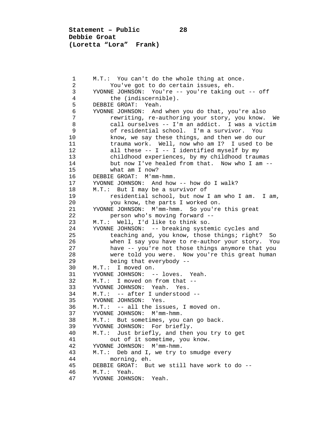**Statement – Public 28 Debbie Groat (Loretta "Lora" Frank)**

1 M.T.: You can't do the whole thing at once.<br>2 You've got to do certain issues, eh. 2 You've got to do certain issues, eh.<br>3 YVONNE JOHNSON: You're -- you're taking 3 YVONNE JOHNSON: You're -- you're taking out -- off 4 the (indiscernible).<br>5 DEBBIE GROAT: Yeah. 5 DEBBIE GROAT: Yeah.<br>6 YVONNE JOHNSON: And 6 YVONNE JOHNSON: And when you do that, you're also 7 rewriting, re-authoring your story, you know. We<br>8 call ourselves -- I'm an addict. I was a victim 8 call ourselves -- I'm an addict. I was a victim<br>9 6 contresidential school. I'm a survivor. You 9 of residential school. I'm a survivor. You 10 know, we say these things, and then we do our<br>11 trauma work. Well, now who am I? I used to l 11 trauma work. Well, now who am I? I used to be<br>12 all these -- I -- I identified myself by my 12 all these -- I -- I identified myself by my<br>13 childhood experiences, by my childhood traum 13 childhood experiences, by my childhood traumas<br>14 but now I've healed from that. Now who I am -14 but now I've healed from that. Now who I am --<br>15 what am I now? 15 what am I now?<br>16 DEBBIE GROAT: M'mm 16 DEBBIE GROAT: M'mm-hmm.<br>17 YVONNE JOHNSON: And how 17 YVONNE JOHNSON: And how -- how do I walk?<br>18 M.T.: But I may be a survivor of 18 M.T.: But I may be a survivor of<br>19 mesidential school, but now 19 residential school, but now I am who I am. I am,<br>20 vou know, the parts I worked on. 20 you know, the parts I worked on.<br>21 YVONNE JOHNSON: M'mm-hmm. So you're 21 YVONNE JOHNSON: M'mm-hmm. So you're this great<br>22 Derson who's moving forward --22 person who's moving forward --<br>23 M.T.: Well, I'd like to think so. 23 M.T.: Well, I'd like to think so.<br>24 YVONNE JOHNSON: -- breaking syste 24 YVONNE JOHNSON: -- breaking systemic cycles and<br>25 teaching and, you know, those things; right? 25 teaching and, you know, those things; right? So<br>26 when I say you have to re-author your story. Yo 26 when I say you have to re-author your story. You<br>27 have -- you're not those things anymore that you 27 have -- you're not those things anymore that you<br>28 were told you were. Now you're this great human 28 were told you were. Now you're this great human<br>29 being that everybody --29 being that everybody --<br>30 M.T.: I moved on. 30 M.T.: I moved on.<br>31 YVONNE JOHNSON: -31 YVONNE JOHNSON: -- loves. Yeah.<br>32 M.T.: I moved on from that --32 M.T.: I moved on from that --<br>33 YVONNE JOHNSON: Yeah. Yes. 33 YVONNE JOHNSON: Yeah. Yes.<br>34 MT: -- after Lunderstood 34 M.T.: -- after I understood --<br>35 YVONNE JOHNSON: Yes. 35 YVONNE JOHNSON: Yes.<br>36 M.T.: -- all the iss 36 M.T.: -- all the issues, I moved on.<br>37 YVONNE JOHNSON: M'mm-hmm. 37 YVONNE JOHNSON: M'mm-hmm.<br>38 M.T.: But sometimes, you 38 M.T.: But sometimes, you can go back.<br>39 YVONNE JOHNSON: For briefly. 39 YVONNE JOHNSON: For briefly.<br>40 M.T.: Just briefly, and then 40 M.T.: Just briefly, and then you try to get<br>41 out of it sometime, you know. 41 out of it sometime, you know.<br>42 YVONNE JOHNSON: M'mm-hmm. 42 YVONNE JOHNSON: M'mm-hmm.<br>43 M.T.: Deb and I, we try t 43 M.T.: Deb and I, we try to smudge every 44 44 morning, eh.<br>45 DEBBIE GROAT: Bu 45 DEBBIE GROAT: But we still have work to do -- 46 M.T.: Yeah.<br>47 YVONNE JOHNS YVONNE JOHNSON: Yeah.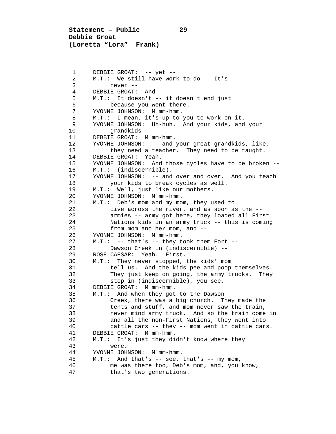**Statement – Public 29 Debbie Groat (Loretta "Lora" Frank)**

1 DEBBIE GROAT: -- yet --<br>2 M.T.: We still have wor 2 M.T.: We still have work to do. It's<br>3 never --3 never --<br>4 DEBBIE GROAT: 4 DEBBIE GROAT: And --<br>5 M.T.: It doesn't --5 M.T.: It doesn't -- it doesn't end just<br>6 because you went there. 6 because you went there.<br>7 YVONNE JOHNSON: M'mm-hmm. 7 YVONNE JOHNSON: M'mm-hmm.<br>8 M.T.: I mean, it's up to 8 M.T.: I mean, it's up to you to work on it.<br>9 YVONNE JOHNSON: Uh-huh. And your kids, and 9 YVONNE JOHNSON: Uh-huh. And your kids, and your 10 grandkids --<br>11 DEBBIE GROAT: M'I 11 DEBBIE GROAT: M'mm-hmm.<br>12 YVONNE JOHNSON: -- and 12 YVONNE JOHNSON: -- and your great-grandkids, like,<br>13 they need a teacher. They need to be taught. 13 they need a teacher. They need to be taught.<br>14 DEBBIE GROAT: Yeah. 14 DEBBIE GROAT: Yeah.<br>15 YVONNE JOHNSON: And 15 YVONNE JOHNSON: And those cycles have to be broken --<br>16 M.T.: (indiscernible). 16 M.T.: (indiscernible).<br>17 YVONNE JOHNSON: -- and 17 YVONNE JOHNSON: -- and over and over. And you teach<br>18 Your kids to break cycles as well. 18 your kids to break cycles as well.<br>19 M.T.: Well, just like our mothers. 19 M.T.: Well, just like our mothers.<br>20 YVONNE JOHNSON: M'mm-hmm. 20 YVONNE JOHNSON: M'mm-hmm.<br>21 M.T.: Deb's mom and my mo 21 M.T.: Deb's mom and my mom, they used to<br>22 live across the river, and as soon as 22 live across the river, and as soon as the --<br>23 armies -- army got here, they loaded all Fir 23 armies -- army got here, they loaded all First 24 Nations kids in an army truck -- this is coming<br>25 from mom and her mom, and --25 from mom and her mom, and --<br>26 YVONNE JOHNSON: M'mm-hmm. 26 YVONNE JOHNSON: M'mm-hmm.<br>27 M.T.: -- that's -- they t 27 M.T.: -- that's -- they took them Fort --<br>28 Dawson Creek in (indiscernible) --28 Dawson Creek in (indiscernible) --<br>29 ROSE CAESAR: Yeah First 29 ROSE CAESAR: Yeah. First.<br>30 M.T.: They never stopped, 30 M.T.: They never stopped, the kids' mom<br>31 tell us. And the kids pee and poop 31 tell us. And the kids pee and poop themselves.<br>32 They just keep on going, the army trucks. They 32 They just keep on going, the army trucks. They<br>33 stop in (indiscernible), you see. 33 stop in (indiscernible), you see.<br>34 DEBBIE GROAT: M'mm-hmm. 34 DEBBIE GROAT: M'mm-hmm.<br>35 M.T.: And when they got 35 M.T.: And when they got to the Dawson<br>36 Creek, there was a big church. The 36 Creek, there was a big church. They made the<br>37 tents and stuff, and mom never saw the train, 37 tents and stuff, and mom never saw the train,<br>38 hever mind army truck. And so the train come 38 never mind army truck. And so the train come in<br>39 and all the non-First Nations, they went into 39 and all the non-First Nations, they went into<br>40 cattle cars -- they -- mom went in cattle car 40 cattle cars -- they -- mom went in cattle cars.<br>41 DEBBIE GROAT: M'mm-hmm. 41 DEBBIE GROAT: M'mm-hmm.<br>42 M.T.: It's just they di 42 M.T.: It's just they didn't know where they 43 were.<br>44 YVONNE JOH 44 YVONNE JOHNSON: M'mm-hmm.<br>45 M.T.: And that's -- see,  $M.T.:$  And that's -- see, that's -- my mom, 46 me was there too, Deb's mom, and, you know,<br>47 that's two generations. that's two generations.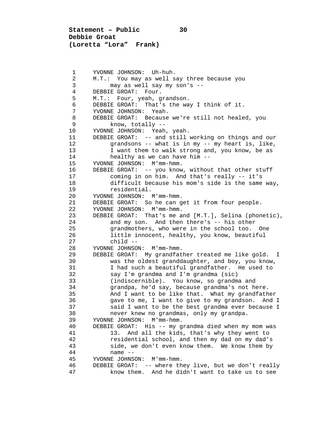**Statement – Public 30 Debbie Groat (Loretta "Lora" Frank)**

1 YVONNE JOHNSON: Uh-huh.<br>2 M.T.: You may as wells 2 M.T.: You may as well say three because you<br>3 may as well say my son's -- 3 may as well say my son's -- 4 DEBBIE GROAT: Four.<br>5 M.T.: Four, yeah, q 5 M.T.: Four, yeah, grandson. 6 DEBBIE GROAT: That's the way I think of it.<br>7 YVONNE JOHNSON: Yeah. 7 YVONNE JOHNSON: Yeah.<br>8 DEBBIE GROAT: Because 8 DEBBIE GROAT: Because we're still not healed, you<br>9 know, totally --9 know, totally --<br>10 YVONNE JOHNSON: Yeah 10 YVONNE JOHNSON: Yeah, yeah.<br>11 DEBBIE GROAT: -- and still 11 DEBBIE GROAT: -- and still working on things and our<br>12 orandsons -- what is in my -- my heart is, like, 12 grandsons -- what is in my -- my heart is, like,<br>13 I want them to walk strong and, you know, be as 13 I want them to walk strong and, you know, be as<br>14 healthy as we can have him --14 healthy as we can have him --<br>15 YVONNE JOHNSON: M'mm-hmm. 15 YVONNE JOHNSON: M'mm-hmm.<br>16 DEBBIE GROAT: -- you know 16 DEBBIE GROAT: -- you know, without that other stuff<br>17 coming in on him. And that's really -- it's 17 coming in on him. And that's really -- it's 18 difficult because his mom's side is the same way,<br>19 mesidential. 19 residential.<br>20 YVONNE JOHNSON: 20 YVONNE JOHNSON: M'mm-hmm.<br>21 DEBBIE GROAT: So he can q 21 DEBBIE GROAT: So he can get it from four people.<br>22 YVONNE JOHNSON: M'mm-hmm. 22 YVONNE JOHNSON: M'mm-hmm.<br>23 DEBBIE GROAT: That's me a 23 DEBBIE GROAT: That's me and [M.T.], Selina (phonetic),<br>24 and my son. And then there's -- his other 24 and my son. And then there's -- his other<br>25 arandmothers, who were in the school too. 25 grandmothers, who were in the school too. One<br>26 1ittle innocent, healthy, you know, beautiful 26 little innocent, healthy, you know, beautiful<br>27 child -- 27 child -- 28 YVONNE JOHNSON: M'mm-hmm.<br>29 DEBBIE GROAT: My grandfat. 29 DEBBIE GROAT: My grandfather treated me like gold. I<br>30 was the oldest granddaughter, and boy, you know, 30 was the oldest granddaughter, and boy, you know, 31 I had such a beautiful grandfather. He used to<br>32 Say I'm grandma and I'm grandma (sic) 32 say I'm grandma and I'm grandma (sic) 33 (indiscernible). You know, so grandma and 34 grandpa, he'd say, because grandma's not here. 35 And I want to be like that. What my grandfather<br>36 Gave to me, I want to give to my grandson. And I 36 36 gave to me, I want to give to my grandson. And I<br>37 said I want to be the best grandma ever because I 37 said I want to be the best grandma ever because I 38 never knew no grandmas, only my grandpa.<br>39 YVONNE JOHNSON: M'mm-hmm. 39 YVONNE JOHNSON: M'mm-hmm.<br>40 DEBBIE GROAT: His -- my q 40 DEBBIE GROAT: His -- my grandma died when my mom was 41 13. And all the kids, that's why they went to<br>42 Tesidential school, and then my dad on my dad' 42 residential school, and then my dad on my dad's<br>43 side, we don't even know them. We know them by 43 side, we don't even know them. We know them by 44 name -- YVONNE JOHNSON: M'mm-hmm. 46 DEBBIE GROAT: -- where they live, but we don't really know them. And he didn't want to take us to see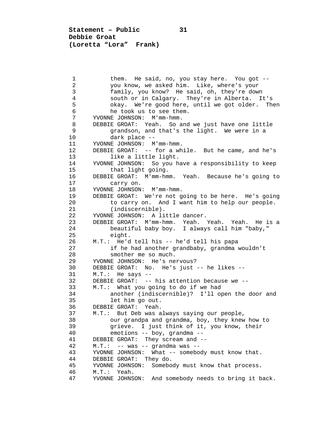**Statement – Public 31 Debbie Groat (Loretta "Lora" Frank)**

1 them. He said, no, you stay here. You got --<br>2 you know, we asked him. Like, where's your 2 you know, we asked him. Like, where's your 3 family, you know? He said, oh, they're down 4 south or in Calgary. They're in Alberta. It's 5 okay. We're good here, until we got older. Then<br>6 he took us to see them. 6 he took us to see them.<br>7 YVONNE JOHNSON: M'mm-hmm. 7 YVONNE JOHNSON: M'mm-hmm.<br>8 DEBBIE GROAT: Yeah. So a 8 DEBBIE GROAT: Yeah. So and we just have one little<br>9 arandson, and that's the light. We were in a 9 grandson, and that's the light. We were in a<br>10 dark place --10 dark place --<br>11 YVONNE JOHNSON: M 11 YVONNE JOHNSON: M'mm-hmm.<br>12 DEBBIE GROAT: -- for a wh 12 DEBBIE GROAT: -- for a while. But he came, and he's<br>13 like a little light. 13 like a little light.<br>14 YVONNE JOHNSON: So you h 14 YVONNE JOHNSON: So you have a responsibility to keep 15 that light going.<br>16 DEBBIE GROAT: M'mm-hmw 16 DEBBIE GROAT: M'mm-hmm. Yeah. Because he's going to 17 carry on.<br>18 YVONNE JOHNSON 18 YVONNE JOHNSON: M'mm-hmm.<br>19 DEBBIE GROAT: We're not g 19 DEBBIE GROAT: We're not going to be here. He's going<br>20 to carry on. And I want him to help our people. 20 to carry on. And I want him to help our people.<br>21 (indiscernible). 21 (indiscernible).<br>22 YVONNE JOHNSON: A li 22 YVONNE JOHNSON: A little dancer.<br>23 DEBBIE GROAT: M'mm-hmm. Yeah. 23 DEBBIE GROAT: M'mm-hmm. Yeah. Yeah. Yeah. He is a 24 beautiful baby boy. I always call him "baby," 25 eight.<br>26 M.T.: He'd 26 M.T.: He'd tell his -- he'd tell his papa<br>27 if he had another grandbaby, grandma w 27 if he had another grandbaby, grandma wouldn't<br>28 smother me so much. 28 smother me so much.<br>29 YVONNE JOHNSON: He's ne 29 YVONNE JOHNSON: He's nervous?<br>30 DEBBIE GROAT: No. He's just 30 DEBBIE GROAT: No. He's just -- he likes --<br>31 M.T.: He says --31 M.T.: He says --<br>32 DEBBIE GROAT: --32 DEBBIE GROAT: -- his attention because we --<br>33 M.T.: What you going to do if we had 33 M.T.: What you going to do if we had 34 another (indiscernible)? I'll open the door and 35 let him go out.<br>36 DEBBIE GROAT: Yeah. 36 DEBBIE GROAT: Yeah.<br>37 M.T.: But Deb was a 37 M.T.: But Deb was always saying our people,<br>38 our grandpa and grandma, boy, they knew 38 our grandpa and grandma, boy, they knew how to<br>39 orieve. I just think of it, you know, their 39 grieve. I just think of it, you know, their<br>40 emotions -- boy, grandma -- 40 emotions -- boy, grandma -- 41 DEBBIE GROAT: They scream and --<br>42 M.T.: -- was -- grandma was --42 M.T.: -- was -- grandma was --<br>43 YVONNE JOHNSON: What -- somebod 43 YVONNE JOHNSON: What -- somebody must know that.<br>44 DEBBIE GROAT: They do. 44 DEBBIE GROAT: They do.<br>45 YVONNE JOHNSON: Somebo 45 YVONNE JOHNSON: Somebody must know that process.<br>46 M.T.: Yeah. 46 M.T.: Yeah.<br>47 YVONNE JOHNS YVONNE JOHNSON: And somebody needs to bring it back.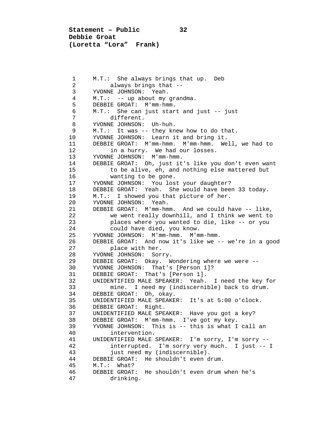**Statement – Public 32 Debbie Groat (Loretta "Lora" Frank)**

1 M.T.: She always brings that up. Deb<br>2 always brings that --2 always brings that --<br>3 YVONNE JOHNSON: Yeah. 3 YVONNE JOHNSON: Yeah.<br>4 M.T.: -- up about my 4 M.T.: -- up about my grandma. 5 DEBBIE GROAT: M'mm-hmm.<br>6 M.T.: She can just star 6 M.T.: She can just start and just -- just 7 different.<br>8 YVONNE JOHNSON: 8 YVONNE JOHNSON: Uh-huh.<br>9 M.T.: It was -- they kn 9 M.T.: It was -- they knew how to do that.<br>10 YVONNE JOHNSON: Learn it and bring it. 10 YVONNE JOHNSON: Learn it and bring it.<br>11 DEBBIE GROAT: M'mm-hmm. M'mm-hmm. We 11 DEBBIE GROAT: M'mm-hmm. M'mm-hmm. Well, we had to 12 in a hurry. We had our losses.<br>13 YVONNE JOHNSON: M'mm-hmm. 13 YVONNE JOHNSON: M'mm-hmm.<br>14 DEBBIE GROAT: Oh, just it 14 DEBBIE GROAT: Oh, just it's like you don't even want<br>15 to be alive, eh, and nothing else mattered but 15 to be alive, eh, and nothing else mattered but<br>16 wanting to be gone. 16 wanting to be gone.<br>17 YVONNE JOHNSON: You los 17 YVONNE JOHNSON: You lost your daughter?<br>18 DEBBIE GROAT: Yeah. She would have beer 18 DEBBIE GROAT: Yeah. She would have been 33 today.<br>19 M.T.: I showed you that picture of her. 19 M.T.: I showed you that picture of her.<br>20 YVONNE JOHNSON: Yeah. 20 YVONNE JOHNSON: Yeah.<br>21 DEBBIE GROAT: M'mm-hm 21 DEBBIE GROAT: M'mm-hmm. And we could have -- like,<br>22 we went really downhill, and I think we went to 22 we went really downhill, and I think we went to<br>23 blaces where you wanted to die, like -- or you 23 places where you wanted to die, like -- or you<br>24 could have died, you know. 24 could have died, you know.<br>25 YVONNE JOHNSON: M'mm-hmm. M'm 25 YVONNE JOHNSON: M'mm-hmm. M'mm-hmm.<br>26 DEBBIE GROAT: And now it's like we - 26 DEBBIE GROAT: And now it's like we -- we're in a good 27 place with her.<br>28 YVONNE JOHNSON: Sori 28 YVONNE JOHNSON: Sorry.<br>29 DEBBIE GROAT: Okav. W 29 DEBBIE GROAT: Okay. Wondering where we were --<br>30 YVONNE JOHNSON: That's [Person 1]? 30 YVONNE JOHNSON: That's [Person 1]?<br>31 DEBBIE GROAT: That's [Person 1]. 31 DEBBIE GROAT: That's [Person 1].<br>32 UNIDENTIFIED MALE SPEAKER: Yeah. 32 UNIDENTIFIED MALE SPEAKER: Yeah. I need the key for 33 mine. I need my (indiscernible) back to drum. 34 DEBBIE GROAT: Oh, okay.<br>35 UNIDENTIFIED MALE SPEAKE 35 UNIDENTIFIED MALE SPEAKER: It's at 5:00 o'clock. 36 DEBBIE GROAT: Right.<br>37 UNIDENTIFIED MALE SPE 37 UNIDENTIFIED MALE SPEAKER: Have you got a key?<br>38 DEBBIE GROAT: M'mm-hmm. I've got my key. 38 DEBBIE GROAT: M'mm-hmm. I've got my key.<br>39 YVONNE JOHNSON: This is -- this is what I 39 YVONNE JOHNSON: This is -- this is what I call an 40 40 intervention.<br>41 UNIDENTIFIED MALE: 41 UNIDENTIFIED MALE SPEAKER: I'm sorry, I'm sorry -- 42 interrupted. I'm sorry very much. I just -- I 43 just need my (indiscernible).<br>44 DEBBIE GROAT: He shouldn't even d 44 DEBBIE GROAT: He shouldn't even drum.<br>45 M.T.: What? 45 M.T.: What?<br>46 DEBBIE GROAT: 46 DEBBIE GROAT: He shouldn't even drum when he's drinking.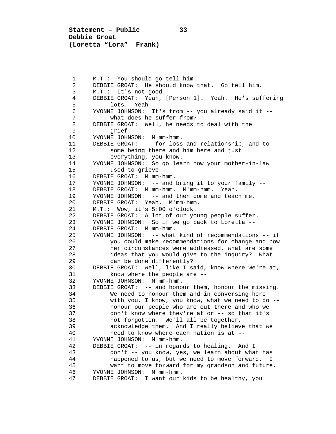**Statement – Public 33 Debbie Groat (Loretta "Lora" Frank)**

1 M.T.: You should go tell him.<br>2 DEBBIE GROAT: He should know 2 DEBBIE GROAT: He should know that. Go tell him.<br>3 M.T.: It's not good. 3 M.T.: It's not good.<br>4 DEBBIE GROAT: Yeah. 4 DEBBIE GROAT: Yeah, [Person 1]**.** Yeah. He's suffering 5 lots. Yeah.<br>6 YVONNE JOHNSON: 6 YVONNE JOHNSON: It's from -- you already said it -- 7 what does he suffer from?<br>8 DEBBIE GROAT: Well, he needs 8 DEBBIE GROAT: Well, he needs to deal with the<br>9 orief --9 grief --<br>10 YVONNE JOHNSOI 10 YVONNE JOHNSON: M'mm-hmm.<br>11 DEBBIE GROAT: -- for loss 11 DEBBIE GROAT: -- for loss and relationship, and to<br>12 some being there and him here and just 12 some being there and him here and just<br>13 everything, you know. 13 everything, you know.<br>14 YVONNE JOHNSON: So go lea 14 YVONNE JOHNSON: So go learn how your mother-in-law 15 used to grieve --<br>16 DEBBIE GROAT: M'mm-hm 16 DEBBIE GROAT: M'mm-hmm.<br>17 YVONNE JOHNSON: -- and 17 YVONNE JOHNSON: -- and bring it to your family --<br>18 DEBBIE GROAT: M'mm-hmm. M'mm-hmm. Yeah. 18 DEBBIE GROAT: M'mm-hmm. M'mm-hmm. Yeah.<br>19 YVONNE JOHNSON: -- and then come and teac 19 YVONNE JOHNSON: -- and then come and teach me.<br>20 DEBBIE GROAT: Yeah. M'mm-hmm. 20 DEBBIE GROAT: Yeah. M'mm-hmm.<br>21 M.T.: Wow. it's 5:00 o'clock. 21 M.T.: Wow, it's 5:00 o'clock.<br>22 DEBBIE GROAT: A lot of our yo 22 DEBBIE GROAT: A lot of our young people suffer.<br>23 YVONNE JOHNSON: So if we go back to Loretta --23 YVONNE JOHNSON: So if we go back to Loretta --<br>24 DEBBIE GROAT: M'mm-hmm. 24 DEBBIE GROAT: M'mm-hmm.<br>25 YVONNE JOHNSON: -- what 25 YVONNE JOHNSON: -- what kind of recommendations -- if<br>26 You could make recommendations for change and how 26 you could make recommendations for change and how<br>27 her circumstances were addressed, what are some 27 her circumstances were addressed, what are some<br>28 her and that you would give to the inquiry? What 28 ideas that you would give to the inquiry? What<br>29 can be done differently? 29 can be done differently?<br>30 DEBBIE GROAT: Well, like I s. 30 DEBBIE GROAT: Well, like I said, know where we're at,<br>31 know where the people are --31 know where the people are --<br>32 YVONNE JOHNSON: M'mm-hmm. 32 YVONNE JOHNSON: M'mm-hmm.<br>33 DEBBIE GROAT: -- and hono 33 DEBBIE GROAT: -- and honour them, honour the missing.<br>34 We need to honour them and in conversing here 34 We need to honour them and in conversing here<br>35 With you, I know, you know, what we need to do 35 with you, I know, you know, what we need to do --<br>36 honour our people who are out there and who we 36 honour our people who are out there and who we<br>37 don't know where they're at or -- so that it's 37 don't know where they're at or -- so that it's<br>38 mot forgotten. We'll all be together. 38 mot forgotten. We'll all be together,<br>39 acknowledge them. And I really believ 39 acknowledge them. And I really believe that we<br>40 meed to know where each nation is at  $-$ 40 meed to know where each nation is at --<br>41 YVONNE JOHNSON: M'mm-hmm. 41 YVONNE JOHNSON: M'mm-hmm. 42 DEBBIE GROAT: -- in regards to healing. And I 43 don't -- you know, yes, we learn about what has 44 happened to us, but we need to move forward. I<br>45 want to move forward for my grandson and future 45 want to move forward for my grandson and future.<br>46 YVONNE JOHNSON: M'mm-hmm. 46 YVONNE JOHNSON: M'mm-hmm.<br>47 DEBBIE GROAT: I want our DEBBIE GROAT: I want our kids to be healthy, you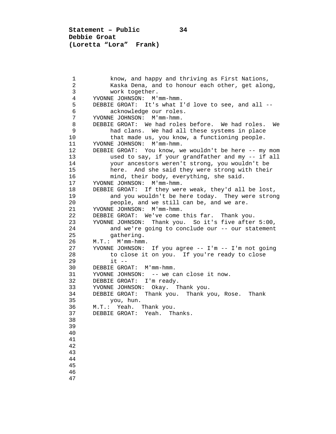**Statement – Public 34 Debbie Groat (Loretta "Lora" Frank)**

1 know, and happy and thriving as First Nations,<br>2 Kaska Dena, and to honour each other, get alon 2 Kaska Dena, and to honour each other, get along,<br>3 work together. 3 work together.<br>4 YVONNE JOHNSON: M' 4 YVONNE JOHNSON: M'mm-hmm. 5 DEBBIE GROAT: It's what I'd love to see, and all --<br>6 acknowledge our roles. 6 acknowledge our roles.<br>7 YVONNE JOHNSON: M'mm-hmm. 7 YVONNE JOHNSON: M'mm-hmm.<br>8 DEBBIE GROAT: We had role 8 DEBBIE GROAT: We had roles before. We had roles. We had roles. We had roles before. 9 had clans. We had all these systems in place<br>10 that made us, you know, a functioning people. 10 that made us, you know, a functioning people.<br>11 YVONNE JOHNSON: M'mm-hmm. 11 YVONNE JOHNSON: M'mm-hmm.<br>12 DEBBIE GROAT: You know, w 12 DEBBIE GROAT: You know, we wouldn't be here -- my mom<br>13 used to say, if your grandfather and my -- if all 13 used to say, if your grandfather and my -- if all<br>14 vour ancestors weren't strong, you wouldn't be 14 your ancestors weren't strong, you wouldn't be 15 here. And she said they were strong with their<br>16 mind, their body, everything, she said. 16 mind, their body, everything, she said.<br>17 YVONNE JOHNSON: M'mm-hmm. 17 YVONNE JOHNSON: M'mm-hmm.<br>18 DEBBIE GROAT: If they wer 18 DEBBIE GROAT: If they were weak, they'd all be lost,<br>19 and you wouldn't be here today. They were stron 19 and you wouldn't be here today. They were strong<br>20 beople, and we still can be, and we are. 20 people, and we still can be, and we are.<br>21 YVONNE JOHNSON: M'mm-hmm. 21 YVONNE JOHNSON: M'mm-hmm.<br>22 DEBBIE GROAT: We've come 22 DEBBIE GROAT: We've come this far. Thank you.<br>23 YVONNE JOHNSON: Thank you. So it's five after 23 YVONNE JOHNSON: Thank you. So it's five after 5:00, 24 and we're going to conclude our -- our statement<br>25 aathering. 25 gathering.<br>26 M.T.: M'mm-hmm 26 M.T.: M'mm-hmm.<br>27 YVONNE JOHNSON: 27 YVONNE JOHNSON: If you agree -- I'm -- I'm not going<br>28 to close it on you. If you're ready to close 28 to close it on you. If you're ready to close<br>29 it --29 it --<br>30 DEBBIE GRO. 30 DEBBIE GROAT: M'mm-hmm.<br>31 YVONNE JOHNSON: -- we c 31 YVONNE JOHNSON: -- we can close it now.<br>32 DEBBIE GROAT: I'm ready. 32 DEBBIE GROAT: I'm ready.<br>33 YVONNE JOHNSON: Okay. T 33 YVONNE JOHNSON: Okay. Thank you. 34 DEBBIE GROAT: Thank you. Thank you, Rose. Thank 35 you, hun.<br>36 M.T.: Yeah. 36 M.T.: Yeah. Thank you.<br>37 DEBBIE GROAT: Yeah. Th DEBBIE GROAT: Yeah. Thanks. 38 39 40 41 42 43 44 45 46 47